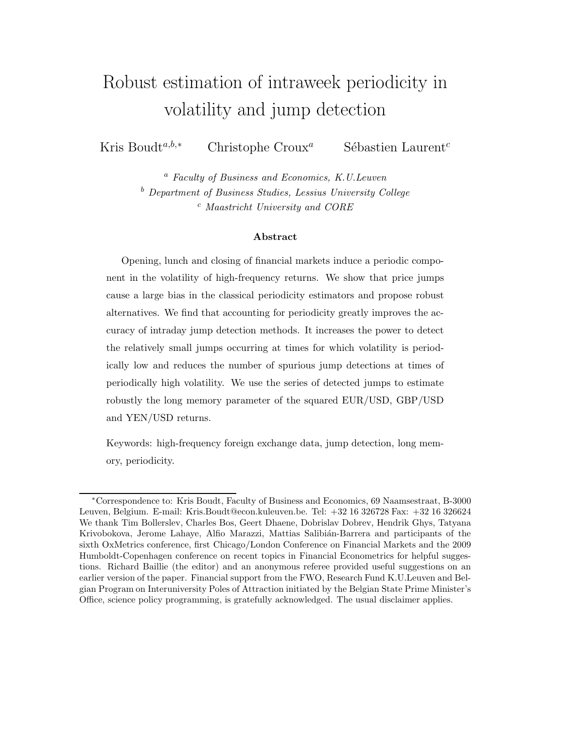# Robust estimation of intraweek periodicity in volatility and jump detection

Kris Boudt<sup>a,b,∗</sup> Christophe Croux<sup>a</sup> Sébastien Laurent<sup>c</sup>

<sup>a</sup> Faculty of Business and Economics, K.U.Leuven <sup>b</sup> Department of Business Studies, Lessius University College <sup>c</sup> Maastricht University and CORE

#### Abstract

Opening, lunch and closing of financial markets induce a periodic component in the volatility of high-frequency returns. We show that price jumps cause a large bias in the classical periodicity estimators and propose robust alternatives. We find that accounting for periodicity greatly improves the accuracy of intraday jump detection methods. It increases the power to detect the relatively small jumps occurring at times for which volatility is periodically low and reduces the number of spurious jump detections at times of periodically high volatility. We use the series of detected jumps to estimate robustly the long memory parameter of the squared EUR/USD, GBP/USD and YEN/USD returns.

Keywords: high-frequency foreign exchange data, jump detection, long memory, periodicity.

<sup>∗</sup>Correspondence to: Kris Boudt, Faculty of Business and Economics, 69 Naamsestraat, B-3000 Leuven, Belgium. E-mail: Kris.Boudt@econ.kuleuven.be. Tel: +32 16 326728 Fax: +32 16 326624 We thank Tim Bollerslev, Charles Bos, Geert Dhaene, Dobrislav Dobrev, Hendrik Ghys, Tatyana Krivobokova, Jerome Lahaye, Alfio Marazzi, Mattias Salibián-Barrera and participants of the sixth OxMetrics conference, first Chicago/London Conference on Financial Markets and the 2009 Humboldt-Copenhagen conference on recent topics in Financial Econometrics for helpful suggestions. Richard Baillie (the editor) and an anonymous referee provided useful suggestions on an earlier version of the paper. Financial support from the FWO, Research Fund K.U.Leuven and Belgian Program on Interuniversity Poles of Attraction initiated by the Belgian State Prime Minister's Office, science policy programming, is gratefully acknowledged. The usual disclaimer applies.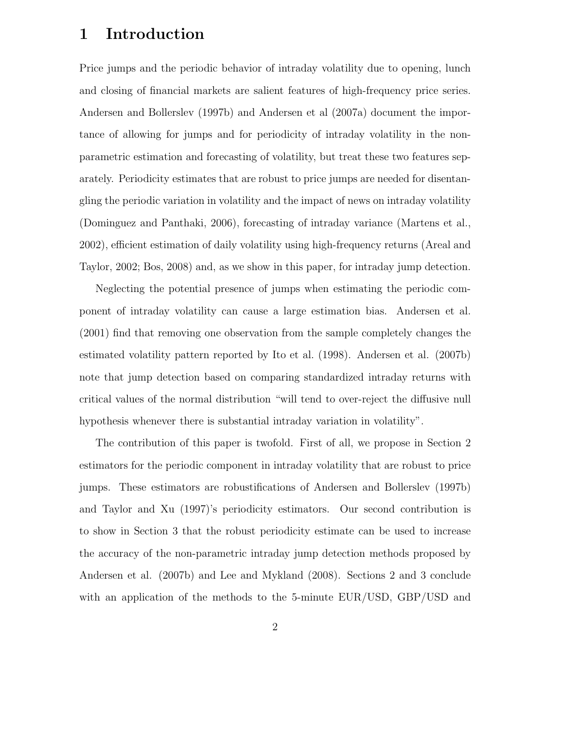### 1 Introduction

Price jumps and the periodic behavior of intraday volatility due to opening, lunch and closing of financial markets are salient features of high-frequency price series. Andersen and Bollerslev (1997b) and Andersen et al (2007a) document the importance of allowing for jumps and for periodicity of intraday volatility in the nonparametric estimation and forecasting of volatility, but treat these two features separately. Periodicity estimates that are robust to price jumps are needed for disentangling the periodic variation in volatility and the impact of news on intraday volatility (Dominguez and Panthaki, 2006), forecasting of intraday variance (Martens et al., 2002), efficient estimation of daily volatility using high-frequency returns (Areal and Taylor, 2002; Bos, 2008) and, as we show in this paper, for intraday jump detection.

Neglecting the potential presence of jumps when estimating the periodic component of intraday volatility can cause a large estimation bias. Andersen et al. (2001) find that removing one observation from the sample completely changes the estimated volatility pattern reported by Ito et al. (1998). Andersen et al. (2007b) note that jump detection based on comparing standardized intraday returns with critical values of the normal distribution "will tend to over-reject the diffusive null hypothesis whenever there is substantial intraday variation in volatility".

The contribution of this paper is twofold. First of all, we propose in Section 2 estimators for the periodic component in intraday volatility that are robust to price jumps. These estimators are robustifications of Andersen and Bollerslev (1997b) and Taylor and Xu (1997)'s periodicity estimators. Our second contribution is to show in Section 3 that the robust periodicity estimate can be used to increase the accuracy of the non-parametric intraday jump detection methods proposed by Andersen et al. (2007b) and Lee and Mykland (2008). Sections 2 and 3 conclude with an application of the methods to the 5-minute EUR/USD, GBP/USD and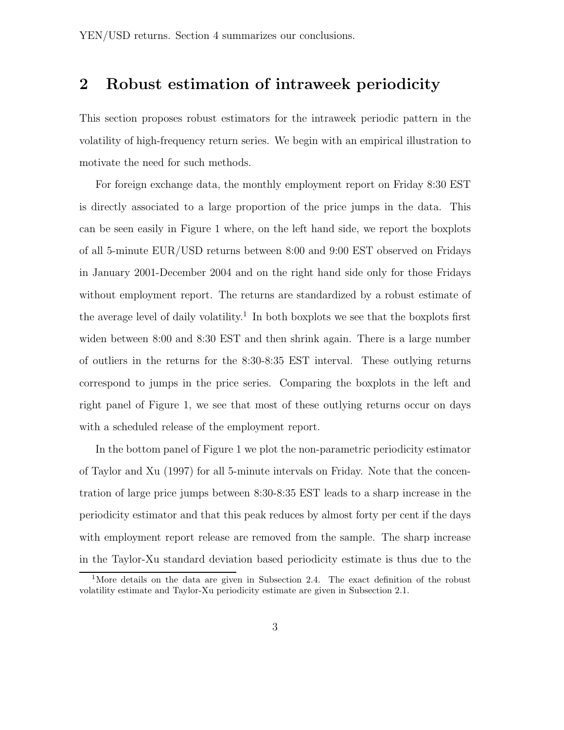### 2 Robust estimation of intraweek periodicity

This section proposes robust estimators for the intraweek periodic pattern in the volatility of high-frequency return series. We begin with an empirical illustration to motivate the need for such methods.

For foreign exchange data, the monthly employment report on Friday 8:30 EST is directly associated to a large proportion of the price jumps in the data. This can be seen easily in Figure 1 where, on the left hand side, we report the boxplots of all 5-minute EUR/USD returns between 8:00 and 9:00 EST observed on Fridays in January 2001-December 2004 and on the right hand side only for those Fridays without employment report. The returns are standardized by a robust estimate of the average level of daily volatility.<sup>1</sup> In both boxplots we see that the boxplots first widen between 8:00 and 8:30 EST and then shrink again. There is a large number of outliers in the returns for the 8:30-8:35 EST interval. These outlying returns correspond to jumps in the price series. Comparing the boxplots in the left and right panel of Figure 1, we see that most of these outlying returns occur on days with a scheduled release of the employment report.

In the bottom panel of Figure 1 we plot the non-parametric periodicity estimator of Taylor and Xu (1997) for all 5-minute intervals on Friday. Note that the concentration of large price jumps between 8:30-8:35 EST leads to a sharp increase in the periodicity estimator and that this peak reduces by almost forty per cent if the days with employment report release are removed from the sample. The sharp increase in the Taylor-Xu standard deviation based periodicity estimate is thus due to the

<sup>&</sup>lt;sup>1</sup>More details on the data are given in Subsection 2.4. The exact definition of the robust volatility estimate and Taylor-Xu periodicity estimate are given in Subsection 2.1.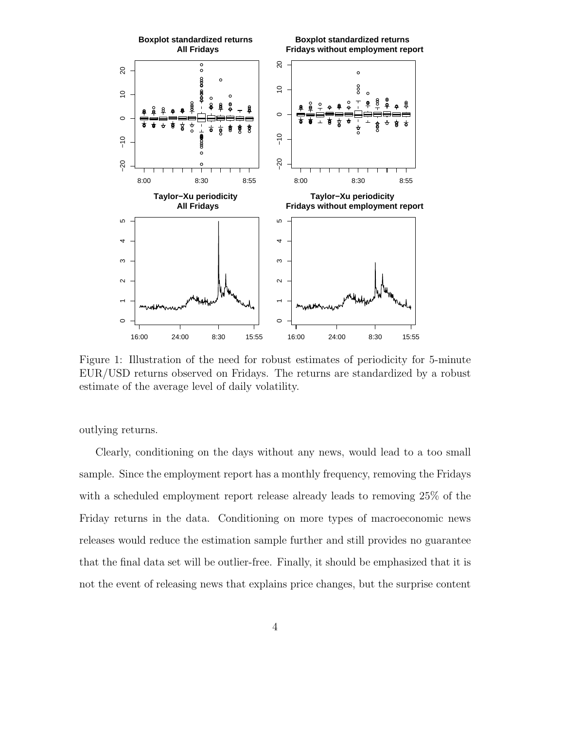

Figure 1: Illustration of the need for robust estimates of periodicity for 5-minute EUR/USD returns observed on Fridays. The returns are standardized by a robust estimate of the average level of daily volatility.

outlying returns.

Clearly, conditioning on the days without any news, would lead to a too small sample. Since the employment report has a monthly frequency, removing the Fridays with a scheduled employment report release already leads to removing 25% of the Friday returns in the data. Conditioning on more types of macroeconomic news releases would reduce the estimation sample further and still provides no guarantee that the final data set will be outlier-free. Finally, it should be emphasized that it is not the event of releasing news that explains price changes, but the surprise content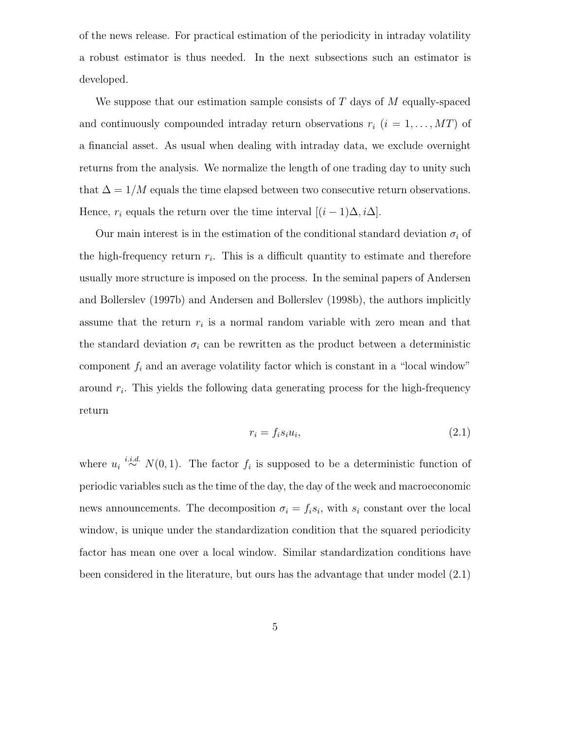of the news release. For practical estimation of the periodicity in intraday volatility a robust estimator is thus needed. In the next subsections such an estimator is developed.

We suppose that our estimation sample consists of  $T$  days of  $M$  equally-spaced and continuously compounded intraday return observations  $r_i$   $(i = 1, \ldots, MT)$  of a financial asset. As usual when dealing with intraday data, we exclude overnight returns from the analysis. We normalize the length of one trading day to unity such that  $\Delta = 1/M$  equals the time elapsed between two consecutive return observations. Hence,  $r_i$  equals the return over the time interval  $[(i - 1)\Delta, i\Delta]$ .

Our main interest is in the estimation of the conditional standard deviation  $\sigma_i$  of the high-frequency return  $r_i$ . This is a difficult quantity to estimate and therefore usually more structure is imposed on the process. In the seminal papers of Andersen and Bollerslev (1997b) and Andersen and Bollerslev (1998b), the authors implicitly assume that the return  $r_i$  is a normal random variable with zero mean and that the standard deviation  $\sigma_i$  can be rewritten as the product between a deterministic component  $f_i$  and an average volatility factor which is constant in a "local window" around  $r_i$ . This yields the following data generating process for the high-frequency return

$$
r_i = f_i s_i u_i,\tag{2.1}
$$

where  $u_i \stackrel{i.i.d.}{\sim} N(0,1)$ . The factor  $f_i$  is supposed to be a deterministic function of periodic variables such as the time of the day, the day of the week and macroeconomic news announcements. The decomposition  $\sigma_i = f_i s_i$ , with  $s_i$  constant over the local window, is unique under the standardization condition that the squared periodicity factor has mean one over a local window. Similar standardization conditions have been considered in the literature, but ours has the advantage that under model (2.1)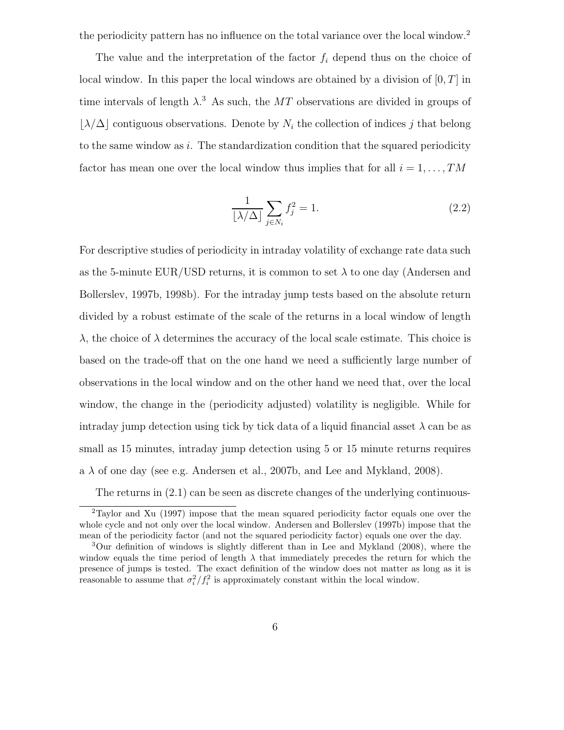the periodicity pattern has no influence on the total variance over the local window.<sup>2</sup>

The value and the interpretation of the factor  $f_i$  depend thus on the choice of local window. In this paper the local windows are obtained by a division of  $[0, T]$  in time intervals of length  $\lambda$ <sup>3</sup>. As such, the MT observations are divided in groups of  $|\lambda/\Delta|$  contiguous observations. Denote by  $N_i$  the collection of indices j that belong to the same window as  $i$ . The standardization condition that the squared periodicity factor has mean one over the local window thus implies that for all  $i = 1, \ldots, TM$ 

$$
\frac{1}{\lfloor \lambda/\Delta \rfloor} \sum_{j \in N_i} f_j^2 = 1. \tag{2.2}
$$

For descriptive studies of periodicity in intraday volatility of exchange rate data such as the 5-minute EUR/USD returns, it is common to set  $\lambda$  to one day (Andersen and Bollerslev, 1997b, 1998b). For the intraday jump tests based on the absolute return divided by a robust estimate of the scale of the returns in a local window of length  $\lambda$ , the choice of  $\lambda$  determines the accuracy of the local scale estimate. This choice is based on the trade-off that on the one hand we need a sufficiently large number of observations in the local window and on the other hand we need that, over the local window, the change in the (periodicity adjusted) volatility is negligible. While for intraday jump detection using tick by tick data of a liquid financial asset  $\lambda$  can be as small as 15 minutes, intraday jump detection using 5 or 15 minute returns requires a  $\lambda$  of one day (see e.g. Andersen et al., 2007b, and Lee and Mykland, 2008).

The returns in  $(2.1)$  can be seen as discrete changes of the underlying continuous-

<sup>2</sup>Taylor and Xu (1997) impose that the mean squared periodicity factor equals one over the whole cycle and not only over the local window. Andersen and Bollerslev (1997b) impose that the mean of the periodicity factor (and not the squared periodicity factor) equals one over the day.

<sup>3</sup>Our definition of windows is slightly different than in Lee and Mykland (2008), where the window equals the time period of length  $\lambda$  that immediately precedes the return for which the presence of jumps is tested. The exact definition of the window does not matter as long as it is reasonable to assume that  $\sigma_i^2/f_i^2$  is approximately constant within the local window.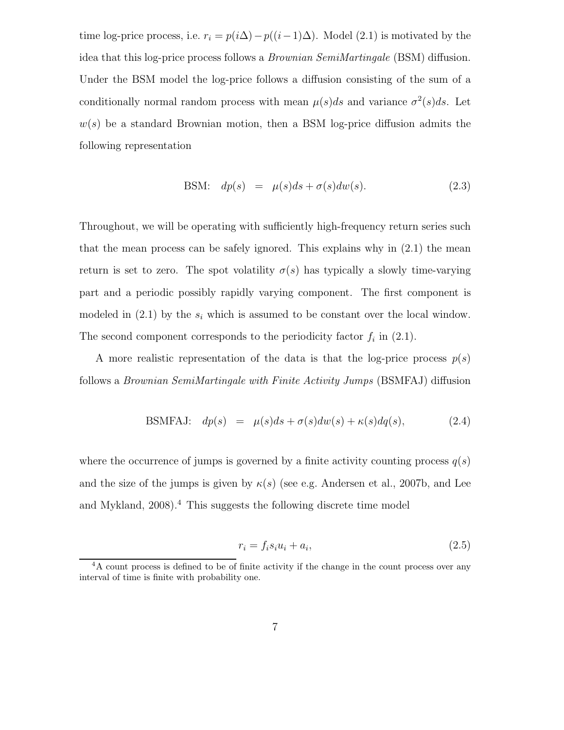time log-price process, i.e.  $r_i = p(i\Delta) - p((i-1)\Delta)$ . Model (2.1) is motivated by the idea that this log-price process follows a Brownian SemiMartingale (BSM) diffusion. Under the BSM model the log-price follows a diffusion consisting of the sum of a conditionally normal random process with mean  $\mu(s)ds$  and variance  $\sigma^2(s)ds$ . Let  $w(s)$  be a standard Brownian motion, then a BSM log-price diffusion admits the following representation

BSM: 
$$
dp(s) = \mu(s)ds + \sigma(s)dw(s)
$$
. (2.3)

Throughout, we will be operating with sufficiently high-frequency return series such that the mean process can be safely ignored. This explains why in  $(2.1)$  the mean return is set to zero. The spot volatility  $\sigma(s)$  has typically a slowly time-varying part and a periodic possibly rapidly varying component. The first component is modeled in  $(2.1)$  by the  $s_i$  which is assumed to be constant over the local window. The second component corresponds to the periodicity factor  $f_i$  in  $(2.1)$ .

A more realistic representation of the data is that the log-price process  $p(s)$ follows a Brownian SemiMartingale with Finite Activity Jumps (BSMFAJ) diffusion

BSMFAJ: 
$$
dp(s) = \mu(s)ds + \sigma(s)dw(s) + \kappa(s)dq(s)
$$
, (2.4)

where the occurrence of jumps is governed by a finite activity counting process  $q(s)$ and the size of the jumps is given by  $\kappa(s)$  (see e.g. Andersen et al., 2007b, and Lee and Mykland, 2008).<sup>4</sup> This suggests the following discrete time model

$$
r_i = f_i s_i u_i + a_i,\tag{2.5}
$$

<sup>&</sup>lt;sup>4</sup>A count process is defined to be of finite activity if the change in the count process over any interval of time is finite with probability one.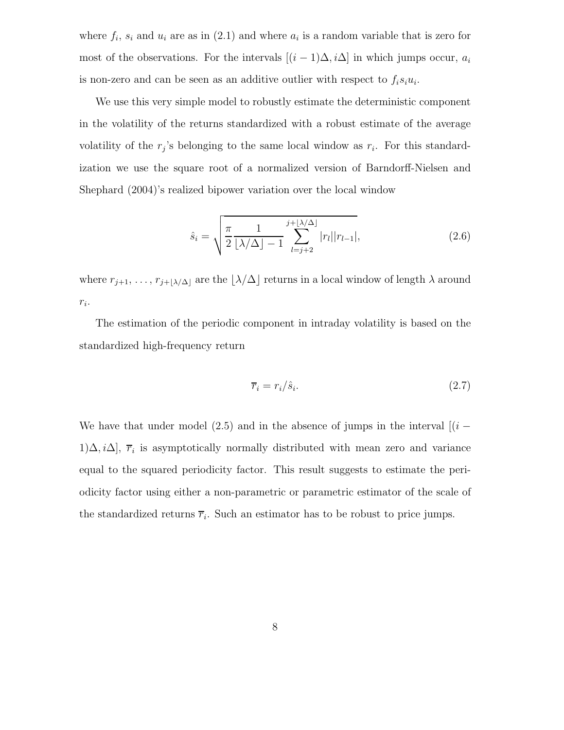where  $f_i$ ,  $s_i$  and  $u_i$  are as in (2.1) and where  $a_i$  is a random variable that is zero for most of the observations. For the intervals  $[(i - 1)\Delta, i\Delta]$  in which jumps occur,  $a_i$ is non-zero and can be seen as an additive outlier with respect to  $f_i s_i u_i$ .

We use this very simple model to robustly estimate the deterministic component in the volatility of the returns standardized with a robust estimate of the average volatility of the  $r_j$ 's belonging to the same local window as  $r_i$ . For this standardization we use the square root of a normalized version of Barndorff-Nielsen and Shephard (2004)'s realized bipower variation over the local window

$$
\hat{s}_i = \sqrt{\frac{\pi}{2} \frac{1}{\lfloor \lambda/\Delta \rfloor - 1} \sum_{l=j+2}^{j+\lfloor \lambda/\Delta \rfloor} |r_l||r_{l-1}|},
$$
\n(2.6)

where  $r_{j+1}, \ldots, r_{j+\lfloor \lambda/\Delta \rfloor}$  are the  $\lfloor \lambda/\Delta \rfloor$  returns in a local window of length  $\lambda$  around  $r_i$ .

The estimation of the periodic component in intraday volatility is based on the standardized high-frequency return

$$
\overline{r}_i = r_i / \hat{s}_i. \tag{2.7}
$$

We have that under model (2.5) and in the absence of jumps in the interval  $[(i -$ 1) $\Delta, i\Delta$ ,  $\overline{r}_i$  is asymptotically normally distributed with mean zero and variance equal to the squared periodicity factor. This result suggests to estimate the periodicity factor using either a non-parametric or parametric estimator of the scale of the standardized returns  $\overline{r}_i$ . Such an estimator has to be robust to price jumps.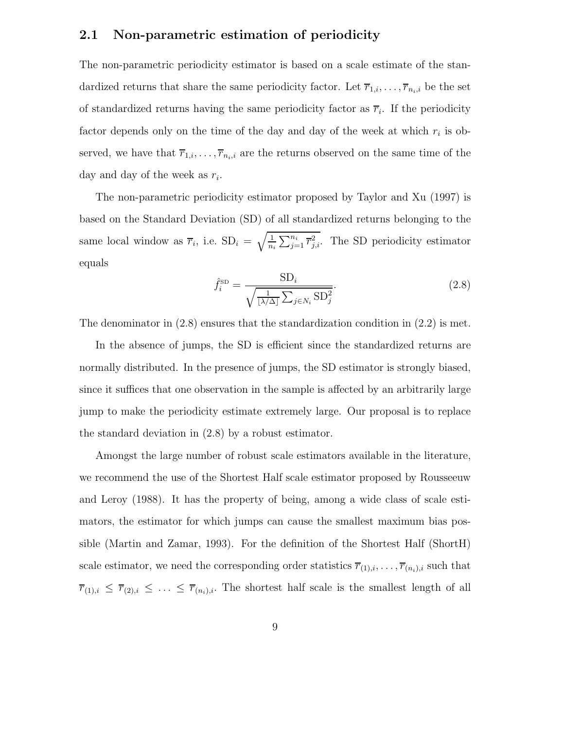### 2.1 Non-parametric estimation of periodicity

The non-parametric periodicity estimator is based on a scale estimate of the standardized returns that share the same periodicity factor. Let  $\overline{r}_{1,i}, \ldots, \overline{r}_{n_i,i}$  be the set of standardized returns having the same periodicity factor as  $\overline{r}_i$ . If the periodicity factor depends only on the time of the day and day of the week at which  $r_i$  is observed, we have that  $\overline{r}_{1,i}, \ldots, \overline{r}_{n_i,i}$  are the returns observed on the same time of the day and day of the week as  $r_i$ .

The non-parametric periodicity estimator proposed by Taylor and Xu (1997) is based on the Standard Deviation (SD) of all standardized returns belonging to the same local window as  $\overline{r}_i$ , i.e.  $SD_i = \sqrt{\frac{1}{n_i} \sum_{j=1}^{n_i} \overline{r}_{j,i}^2}$ . The SD periodicity estimator equals

$$
\hat{f}_i^{\text{SD}} = \frac{\text{SD}_i}{\sqrt{\frac{1}{[\lambda/\Delta]}\sum_{j \in N_i} \text{SD}_j^2}}.
$$
\n(2.8)

The denominator in (2.8) ensures that the standardization condition in (2.2) is met.

In the absence of jumps, the SD is efficient since the standardized returns are normally distributed. In the presence of jumps, the SD estimator is strongly biased, since it suffices that one observation in the sample is affected by an arbitrarily large jump to make the periodicity estimate extremely large. Our proposal is to replace the standard deviation in (2.8) by a robust estimator.

Amongst the large number of robust scale estimators available in the literature, we recommend the use of the Shortest Half scale estimator proposed by Rousseeuw and Leroy (1988). It has the property of being, among a wide class of scale estimators, the estimator for which jumps can cause the smallest maximum bias possible (Martin and Zamar, 1993). For the definition of the Shortest Half (ShortH) scale estimator, we need the corresponding order statistics  $\overline{r}_{(1),i}, \ldots, \overline{r}_{(n_i),i}$  such that  $\overline{r}_{(1),i} \leq \overline{r}_{(2),i} \leq \ldots \leq \overline{r}_{(n_i),i}$ . The shortest half scale is the smallest length of all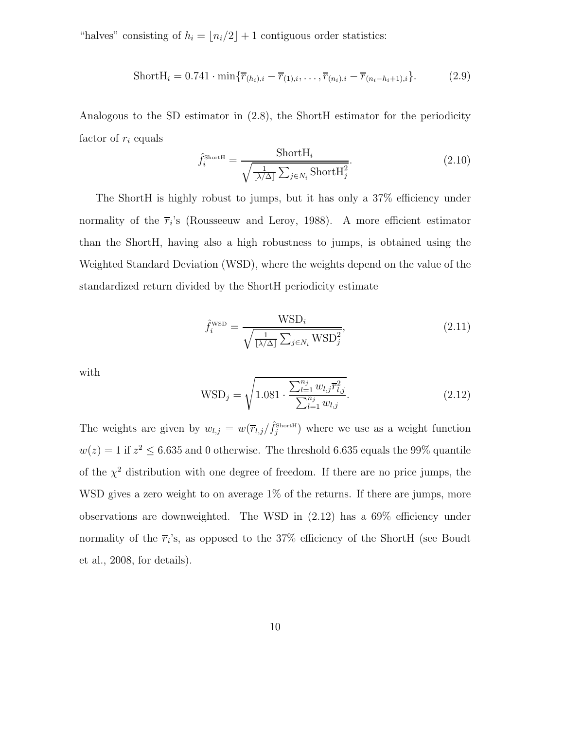"halves" consisting of  $h_i = \lfloor n_i/2 \rfloor + 1$  contiguous order statistics:

ShortH<sub>i</sub> = 0.741 · min{
$$
\overline{r}_{(h_i),i} - \overline{r}_{(1),i}, \ldots, \overline{r}_{(n_i),i} - \overline{r}_{(n_i-h_i+1),i}
$$
} (2.9)

Analogous to the SD estimator in (2.8), the ShortH estimator for the periodicity factor of  $r_i$  equals

$$
\hat{f}_i^{\text{ShortH}} = \frac{\text{ShortH}_i}{\sqrt{\frac{1}{\lfloor \lambda/\Delta \rfloor} \sum_{j \in N_i} \text{ShortH}_j^2}}.
$$
\n(2.10)

The ShortH is highly robust to jumps, but it has only a 37% efficiency under normality of the  $\overline{r}_i$ 's (Rousseeuw and Leroy, 1988). A more efficient estimator than the ShortH, having also a high robustness to jumps, is obtained using the Weighted Standard Deviation (WSD), where the weights depend on the value of the standardized return divided by the ShortH periodicity estimate

$$
\hat{f}_i^{\text{WSD}} = \frac{\text{WSD}_i}{\sqrt{\frac{1}{[\lambda/\Delta]}\sum_{j \in N_i} \text{WSD}_j^2}},\tag{2.11}
$$

with

$$
WSD_j = \sqrt{1.081 \cdot \frac{\sum_{l=1}^{n_j} w_{l,j} \overline{r}_{l,j}^2}{\sum_{l=1}^{n_j} w_{l,j}}}.
$$
\n(2.12)

The weights are given by  $w_{l,j} = w(\overline{r}_{l,j}/\hat{f}_j^{\text{ShortH}})$  where we use as a weight function  $w(z) = 1$  if  $z^2 \le 6.635$  and 0 otherwise. The threshold 6.635 equals the 99% quantile of the  $\chi^2$  distribution with one degree of freedom. If there are no price jumps, the WSD gives a zero weight to on average  $1\%$  of the returns. If there are jumps, more observations are downweighted. The WSD in (2.12) has a 69% efficiency under normality of the  $\overline{r}_i$ 's, as opposed to the 37% efficiency of the ShortH (see Boudt et al., 2008, for details).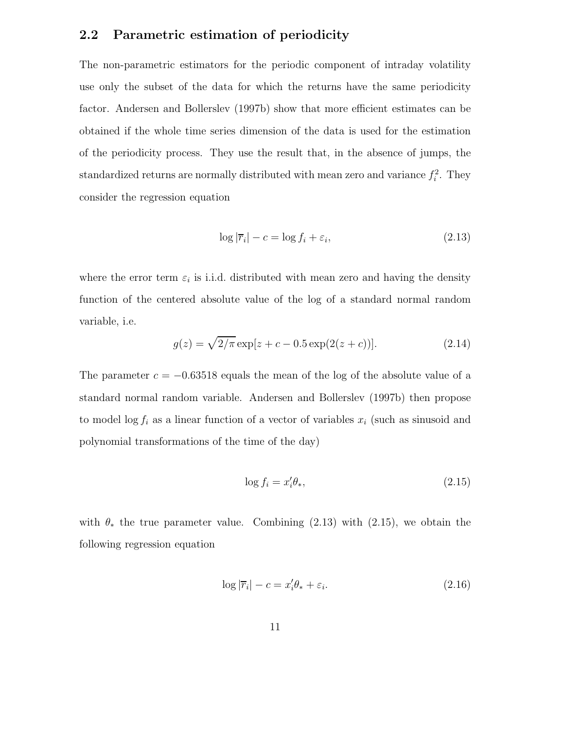#### 2.2 Parametric estimation of periodicity

The non-parametric estimators for the periodic component of intraday volatility use only the subset of the data for which the returns have the same periodicity factor. Andersen and Bollerslev (1997b) show that more efficient estimates can be obtained if the whole time series dimension of the data is used for the estimation of the periodicity process. They use the result that, in the absence of jumps, the standardized returns are normally distributed with mean zero and variance  $f_i^2$ . They consider the regression equation

$$
\log|\overline{r}_i| - c = \log f_i + \varepsilon_i,\tag{2.13}
$$

where the error term  $\varepsilon_i$  is i.i.d. distributed with mean zero and having the density function of the centered absolute value of the log of a standard normal random variable, i.e.

$$
g(z) = \sqrt{2/\pi} \exp[z + c - 0.5 \exp(2(z + c))].
$$
 (2.14)

The parameter  $c = -0.63518$  equals the mean of the log of the absolute value of a standard normal random variable. Andersen and Bollerslev (1997b) then propose to model  $\log f_i$  as a linear function of a vector of variables  $x_i$  (such as sinusoid and polynomial transformations of the time of the day)

$$
\log f_i = x_i' \theta_*,\tag{2.15}
$$

with  $\theta_*$  the true parameter value. Combining (2.13) with (2.15), we obtain the following regression equation

$$
\log|\overline{r}_i| - c = x_i'\theta_* + \varepsilon_i. \tag{2.16}
$$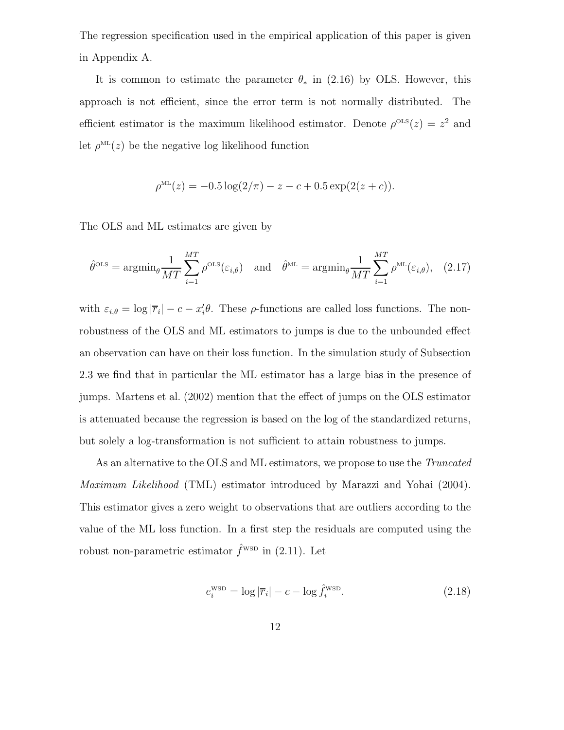The regression specification used in the empirical application of this paper is given in Appendix A.

It is common to estimate the parameter  $\theta_*$  in (2.16) by OLS. However, this approach is not efficient, since the error term is not normally distributed. The efficient estimator is the maximum likelihood estimator. Denote  $\rho^{OLS}(z) = z^2$  and let  $\rho^{\text{ML}}(z)$  be the negative log likelihood function

$$
\rho^{\text{ML}}(z) = -0.5 \log(2/\pi) - z - c + 0.5 \exp(2(z + c)).
$$

The OLS and ML estimates are given by

$$
\hat{\theta}^{\text{OLS}} = \operatorname{argmin}_{\theta} \frac{1}{MT} \sum_{i=1}^{MT} \rho^{\text{OLS}}(\varepsilon_{i,\theta}) \quad \text{and} \quad \hat{\theta}^{\text{ML}} = \operatorname{argmin}_{\theta} \frac{1}{MT} \sum_{i=1}^{MT} \rho^{\text{ML}}(\varepsilon_{i,\theta}), \quad (2.17)
$$

with  $\varepsilon_{i,\theta} = \log |\overline{r}_i| - c - x'_i \theta$ . These  $\rho$ -functions are called loss functions. The nonrobustness of the OLS and ML estimators to jumps is due to the unbounded effect an observation can have on their loss function. In the simulation study of Subsection 2.3 we find that in particular the ML estimator has a large bias in the presence of jumps. Martens et al. (2002) mention that the effect of jumps on the OLS estimator is attenuated because the regression is based on the log of the standardized returns, but solely a log-transformation is not sufficient to attain robustness to jumps.

As an alternative to the OLS and ML estimators, we propose to use the Truncated Maximum Likelihood (TML) estimator introduced by Marazzi and Yohai (2004). This estimator gives a zero weight to observations that are outliers according to the value of the ML loss function. In a first step the residuals are computed using the robust non-parametric estimator  $\hat{f}^{\text{wsp}}$  in (2.11). Let

$$
e_i^{\text{WSD}} = \log |\overline{r}_i| - c - \log \hat{f}_i^{\text{WSD}}.
$$
\n(2.18)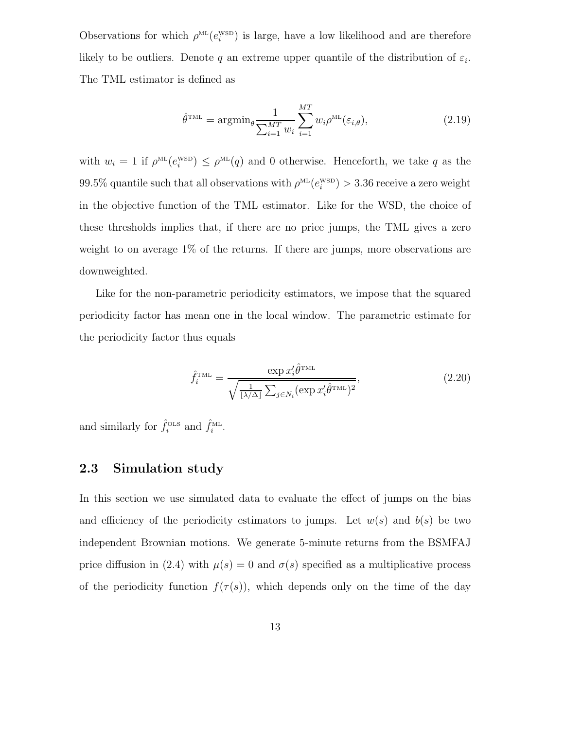Observations for which  $\rho^{\text{ML}}(e_i^{\text{WSD}})$  is large, have a low likelihood and are therefore likely to be outliers. Denote q an extreme upper quantile of the distribution of  $\varepsilon_i$ . The TML estimator is defined as

$$
\hat{\theta}^{\text{TML}} = \operatorname{argmin}_{\theta} \frac{1}{\sum_{i=1}^{MT} w_i} \sum_{i=1}^{MT} w_i \rho^{\text{ML}}(\varepsilon_{i,\theta}),
$$
\n(2.19)

with  $w_i = 1$  if  $\rho^{\text{ML}}(e_i^{\text{WSD}}) \leq \rho^{\text{ML}}(q)$  and 0 otherwise. Henceforth, we take q as the  $99.5\%$  quantile such that all observations with  $\rho^{\text{ML}}(e_i^{\text{WSD}}) > 3.36$  receive a zero weight in the objective function of the TML estimator. Like for the WSD, the choice of these thresholds implies that, if there are no price jumps, the TML gives a zero weight to on average 1% of the returns. If there are jumps, more observations are downweighted.

Like for the non-parametric periodicity estimators, we impose that the squared periodicity factor has mean one in the local window. The parametric estimate for the periodicity factor thus equals

$$
\hat{f}_i^{\text{TML}} = \frac{\exp x_i' \hat{\theta}^{\text{TML}}}{\sqrt{\frac{1}{\lfloor \lambda/\Delta \rfloor} \sum_{j \in N_i} (\exp x_i' \hat{\theta}^{\text{TML}})^2}},
$$
\n(2.20)

and similarly for  $\hat{f}_i^{\text{OLS}}$  and  $\hat{f}_i^{\text{ML}}$ .

### 2.3 Simulation study

In this section we use simulated data to evaluate the effect of jumps on the bias and efficiency of the periodicity estimators to jumps. Let  $w(s)$  and  $b(s)$  be two independent Brownian motions. We generate 5-minute returns from the BSMFAJ price diffusion in (2.4) with  $\mu(s) = 0$  and  $\sigma(s)$  specified as a multiplicative process of the periodicity function  $f(\tau(s))$ , which depends only on the time of the day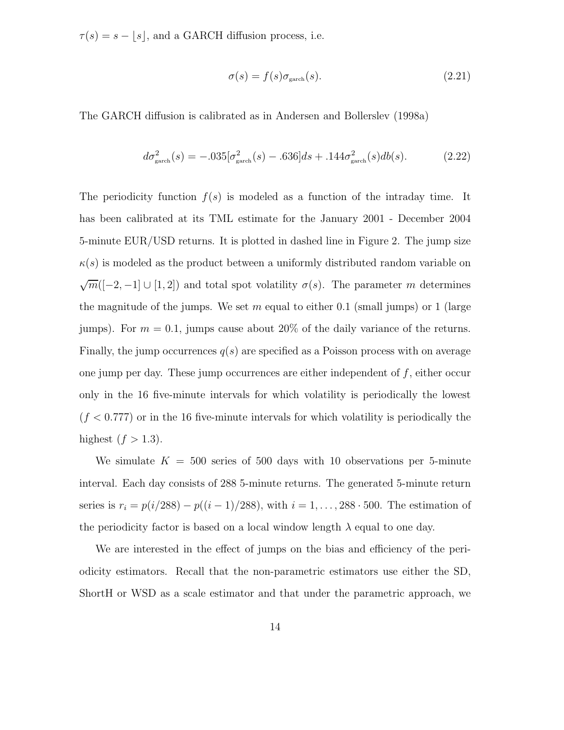$\tau(s) = s - \lfloor s \rfloor$ , and a GARCH diffusion process, i.e.

$$
\sigma(s) = f(s)\sigma_{\text{garch}}(s). \tag{2.21}
$$

The GARCH diffusion is calibrated as in Andersen and Bollerslev (1998a)

$$
d\sigma_{\text{garch}}^2(s) = -.035[\sigma_{\text{garch}}^2(s) - .636]ds + .144\sigma_{\text{garch}}^2(s)db(s). \tag{2.22}
$$

The periodicity function  $f(s)$  is modeled as a function of the intraday time. It has been calibrated at its TML estimate for the January 2001 - December 2004 5-minute EUR/USD returns. It is plotted in dashed line in Figure 2. The jump size  $\kappa(s)$  is modeled as the product between a uniformly distributed random variable on  $\sqrt{m}([-2,-1] \cup [1,2])$  and total spot volatility  $\sigma(s)$ . The parameter m determines the magnitude of the jumps. We set m equal to either 0.1 (small jumps) or 1 (large jumps). For  $m = 0.1$ , jumps cause about 20% of the daily variance of the returns. Finally, the jump occurrences  $q(s)$  are specified as a Poisson process with on average one jump per day. These jump occurrences are either independent of  $f$ , either occur only in the 16 five-minute intervals for which volatility is periodically the lowest  $(f < 0.777)$  or in the 16 five-minute intervals for which volatility is periodically the highest  $(f > 1.3)$ .

We simulate  $K = 500$  series of 500 days with 10 observations per 5-minute interval. Each day consists of 288 5-minute returns. The generated 5-minute return series is  $r_i = p(i/288) - p((i - 1)/288)$ , with  $i = 1, ..., 288 \cdot 500$ . The estimation of the periodicity factor is based on a local window length  $\lambda$  equal to one day.

We are interested in the effect of jumps on the bias and efficiency of the periodicity estimators. Recall that the non-parametric estimators use either the SD, ShortH or WSD as a scale estimator and that under the parametric approach, we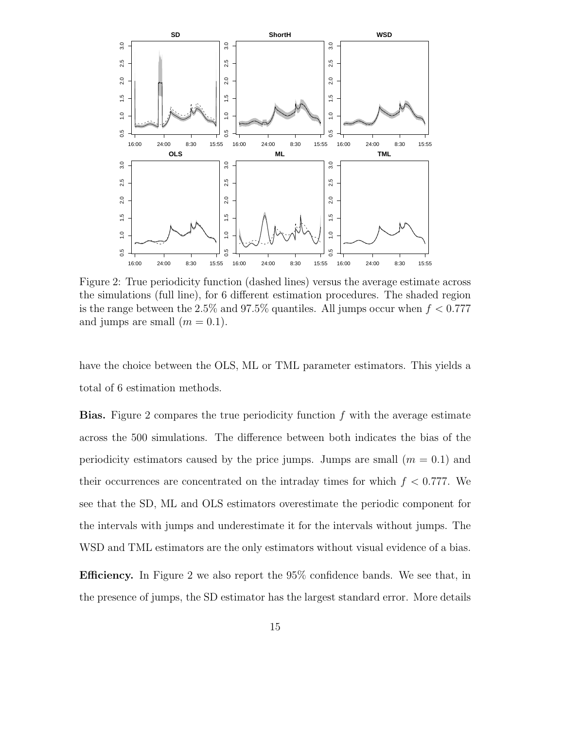

Figure 2: True periodicity function (dashed lines) versus the average estimate across the simulations (full line), for 6 different estimation procedures. The shaded region is the range between the 2.5% and 97.5% quantiles. All jumps occur when  $f < 0.777$ and jumps are small  $(m = 0.1)$ .

have the choice between the OLS, ML or TML parameter estimators. This yields a total of 6 estimation methods.

**Bias.** Figure 2 compares the true periodicity function  $f$  with the average estimate across the 500 simulations. The difference between both indicates the bias of the periodicity estimators caused by the price jumps. Jumps are small  $(m = 0.1)$  and their occurrences are concentrated on the intraday times for which  $f < 0.777$ . We see that the SD, ML and OLS estimators overestimate the periodic component for the intervals with jumps and underestimate it for the intervals without jumps. The WSD and TML estimators are the only estimators without visual evidence of a bias.

Efficiency. In Figure 2 we also report the 95% confidence bands. We see that, in the presence of jumps, the SD estimator has the largest standard error. More details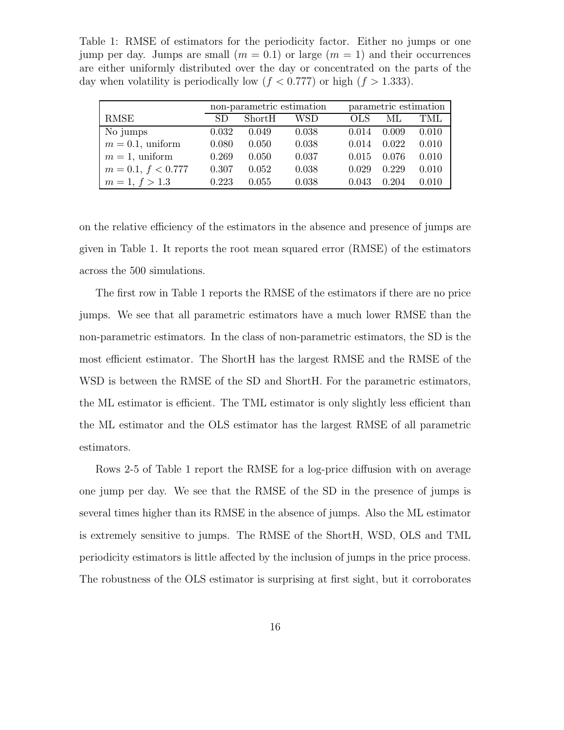Table 1: RMSE of estimators for the periodicity factor. Either no jumps or one jump per day. Jumps are small  $(m = 0.1)$  or large  $(m = 1)$  and their occurrences are either uniformly distributed over the day or concentrated on the parts of the day when volatility is periodically low  $(f < 0.777)$  or high  $(f > 1.333)$ .

|                      |       | non-parametric estimation |       | parametric estimation |       |       |  |  |
|----------------------|-------|---------------------------|-------|-----------------------|-------|-------|--|--|
| RMSE                 | SD.   | ShortH                    | WSD   | <b>OLS</b>            | МL    | TML   |  |  |
| No jumps             | 0.032 | 0.049                     | 0.038 | 0.014                 | 0.009 | 0.010 |  |  |
| $m = 0.1$ , uniform  | 0.080 | 0.050                     | 0.038 | 0.014                 | 0.022 | 0.010 |  |  |
| $m=1$ , uniform      | 0.269 | 0.050                     | 0.037 | 0.015                 | 0.076 | 0.010 |  |  |
| $m = 0.1, f < 0.777$ | 0.307 | 0.052                     | 0.038 | 0.029                 | 0.229 | 0.010 |  |  |
| $m = 1, f > 1.3$     | 0.223 | 0.055                     | 0.038 | 0.043                 | 0.204 | 0.010 |  |  |

on the relative efficiency of the estimators in the absence and presence of jumps are given in Table 1. It reports the root mean squared error (RMSE) of the estimators across the 500 simulations.

The first row in Table 1 reports the RMSE of the estimators if there are no price jumps. We see that all parametric estimators have a much lower RMSE than the non-parametric estimators. In the class of non-parametric estimators, the SD is the most efficient estimator. The ShortH has the largest RMSE and the RMSE of the WSD is between the RMSE of the SD and ShortH. For the parametric estimators, the ML estimator is efficient. The TML estimator is only slightly less efficient than the ML estimator and the OLS estimator has the largest RMSE of all parametric estimators.

Rows 2-5 of Table 1 report the RMSE for a log-price diffusion with on average one jump per day. We see that the RMSE of the SD in the presence of jumps is several times higher than its RMSE in the absence of jumps. Also the ML estimator is extremely sensitive to jumps. The RMSE of the ShortH, WSD, OLS and TML periodicity estimators is little affected by the inclusion of jumps in the price process. The robustness of the OLS estimator is surprising at first sight, but it corroborates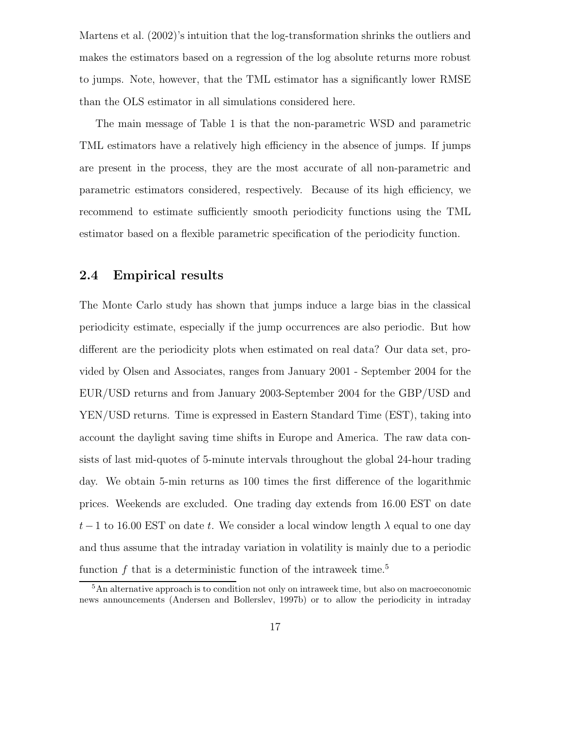Martens et al. (2002)'s intuition that the log-transformation shrinks the outliers and makes the estimators based on a regression of the log absolute returns more robust to jumps. Note, however, that the TML estimator has a significantly lower RMSE than the OLS estimator in all simulations considered here.

The main message of Table 1 is that the non-parametric WSD and parametric TML estimators have a relatively high efficiency in the absence of jumps. If jumps are present in the process, they are the most accurate of all non-parametric and parametric estimators considered, respectively. Because of its high efficiency, we recommend to estimate sufficiently smooth periodicity functions using the TML estimator based on a flexible parametric specification of the periodicity function.

### 2.4 Empirical results

The Monte Carlo study has shown that jumps induce a large bias in the classical periodicity estimate, especially if the jump occurrences are also periodic. But how different are the periodicity plots when estimated on real data? Our data set, provided by Olsen and Associates, ranges from January 2001 - September 2004 for the EUR/USD returns and from January 2003-September 2004 for the GBP/USD and YEN/USD returns. Time is expressed in Eastern Standard Time (EST), taking into account the daylight saving time shifts in Europe and America. The raw data consists of last mid-quotes of 5-minute intervals throughout the global 24-hour trading day. We obtain 5-min returns as 100 times the first difference of the logarithmic prices. Weekends are excluded. One trading day extends from 16.00 EST on date t − 1 to 16.00 EST on date t. We consider a local window length  $\lambda$  equal to one day and thus assume that the intraday variation in volatility is mainly due to a periodic function  $f$  that is a deterministic function of the intraweek time.<sup>5</sup>

 $5$ An alternative approach is to condition not only on intraweek time, but also on macroeconomic news announcements (Andersen and Bollerslev, 1997b) or to allow the periodicity in intraday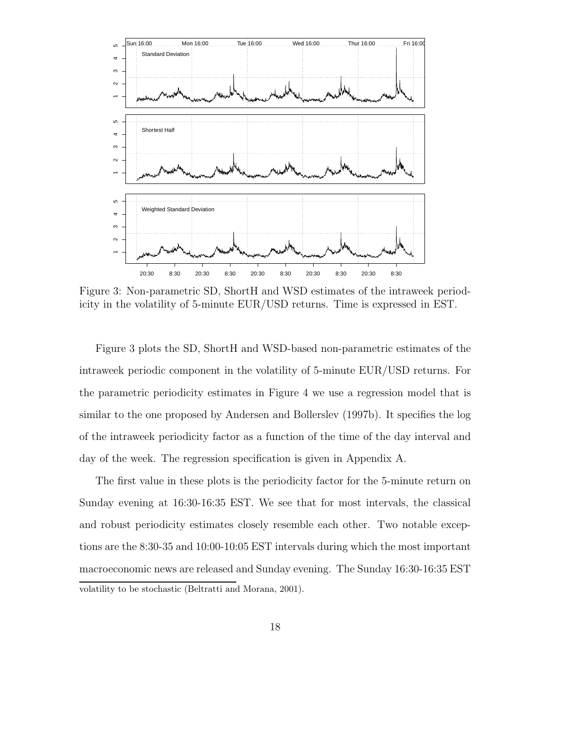

Figure 3: Non-parametric SD, ShortH and WSD estimates of the intraweek periodicity in the volatility of 5-minute EUR/USD returns. Time is expressed in EST.

Figure 3 plots the SD, ShortH and WSD-based non-parametric estimates of the intraweek periodic component in the volatility of 5-minute EUR/USD returns. For the parametric periodicity estimates in Figure 4 we use a regression model that is similar to the one proposed by Andersen and Bollerslev (1997b). It specifies the log of the intraweek periodicity factor as a function of the time of the day interval and day of the week. The regression specification is given in Appendix A.

The first value in these plots is the periodicity factor for the 5-minute return on Sunday evening at 16:30-16:35 EST. We see that for most intervals, the classical and robust periodicity estimates closely resemble each other. Two notable exceptions are the 8:30-35 and 10:00-10:05 EST intervals during which the most important macroeconomic news are released and Sunday evening. The Sunday 16:30-16:35 EST volatility to be stochastic (Beltratti and Morana, 2001).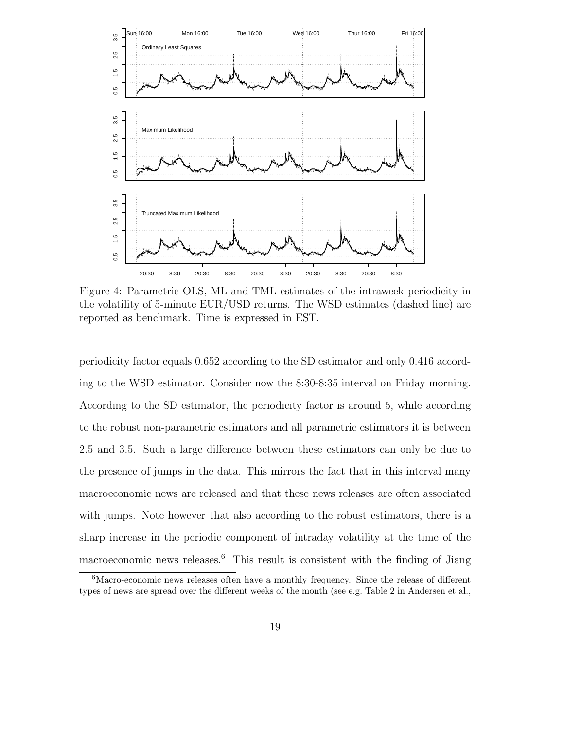

Figure 4: Parametric OLS, ML and TML estimates of the intraweek periodicity in the volatility of 5-minute EUR/USD returns. The WSD estimates (dashed line) are reported as benchmark. Time is expressed in EST.

periodicity factor equals 0.652 according to the SD estimator and only 0.416 according to the WSD estimator. Consider now the 8:30-8:35 interval on Friday morning. According to the SD estimator, the periodicity factor is around 5, while according to the robust non-parametric estimators and all parametric estimators it is between 2.5 and 3.5. Such a large difference between these estimators can only be due to the presence of jumps in the data. This mirrors the fact that in this interval many macroeconomic news are released and that these news releases are often associated with jumps. Note however that also according to the robust estimators, there is a sharp increase in the periodic component of intraday volatility at the time of the macroeconomic news releases.<sup>6</sup> This result is consistent with the finding of Jiang

 $6$ Macro-economic news releases often have a monthly frequency. Since the release of different types of news are spread over the different weeks of the month (see e.g. Table 2 in Andersen et al.,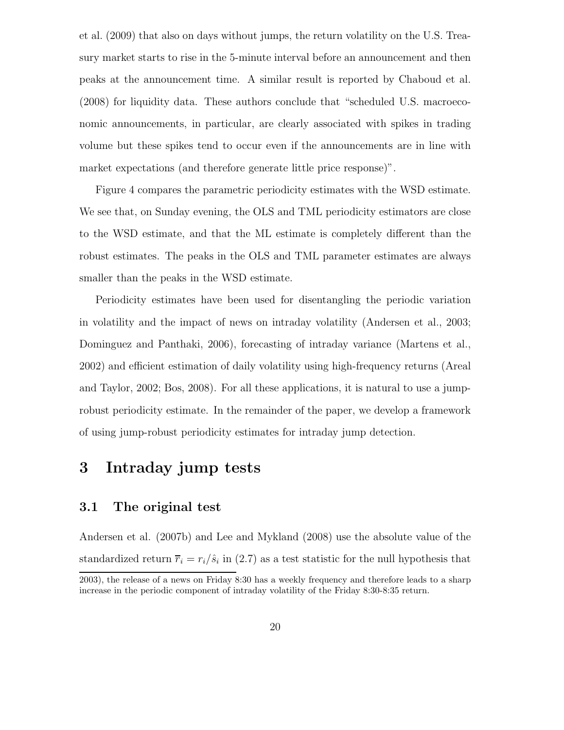et al. (2009) that also on days without jumps, the return volatility on the U.S. Treasury market starts to rise in the 5-minute interval before an announcement and then peaks at the announcement time. A similar result is reported by Chaboud et al. (2008) for liquidity data. These authors conclude that "scheduled U.S. macroeconomic announcements, in particular, are clearly associated with spikes in trading volume but these spikes tend to occur even if the announcements are in line with market expectations (and therefore generate little price response)".

Figure 4 compares the parametric periodicity estimates with the WSD estimate. We see that, on Sunday evening, the OLS and TML periodicity estimators are close to the WSD estimate, and that the ML estimate is completely different than the robust estimates. The peaks in the OLS and TML parameter estimates are always smaller than the peaks in the WSD estimate.

Periodicity estimates have been used for disentangling the periodic variation in volatility and the impact of news on intraday volatility (Andersen et al., 2003; Dominguez and Panthaki, 2006), forecasting of intraday variance (Martens et al., 2002) and efficient estimation of daily volatility using high-frequency returns (Areal and Taylor, 2002; Bos, 2008). For all these applications, it is natural to use a jumprobust periodicity estimate. In the remainder of the paper, we develop a framework of using jump-robust periodicity estimates for intraday jump detection.

### 3 Intraday jump tests

### 3.1 The original test

Andersen et al. (2007b) and Lee and Mykland (2008) use the absolute value of the standardized return  $\overline{r}_i = r_i/\hat{s}_i$  in (2.7) as a test statistic for the null hypothesis that

<sup>2003),</sup> the release of a news on Friday 8:30 has a weekly frequency and therefore leads to a sharp increase in the periodic component of intraday volatility of the Friday 8:30-8:35 return.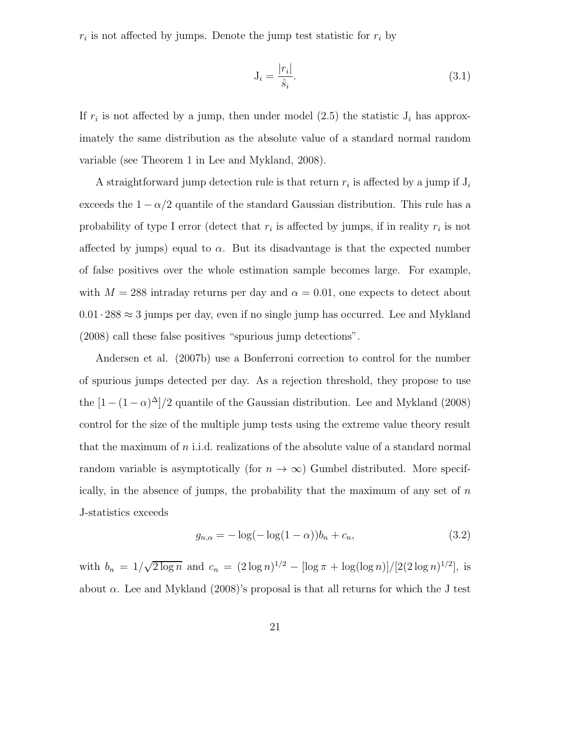$r_i$  is not affected by jumps. Denote the jump test statistic for  $r_i$  by

$$
\mathbf{J}_i = \frac{|r_i|}{\hat{s}_i}.\tag{3.1}
$$

If  $r_i$  is not affected by a jump, then under model (2.5) the statistic  $J_i$  has approximately the same distribution as the absolute value of a standard normal random variable (see Theorem 1 in Lee and Mykland, 2008).

A straightforward jump detection rule is that return  $r_i$  is affected by a jump if  $J_i$ exceeds the  $1 - \alpha/2$  quantile of the standard Gaussian distribution. This rule has a probability of type I error (detect that  $r_i$  is affected by jumps, if in reality  $r_i$  is not affected by jumps) equal to  $\alpha$ . But its disadvantage is that the expected number of false positives over the whole estimation sample becomes large. For example, with  $M = 288$  intraday returns per day and  $\alpha = 0.01$ , one expects to detect about  $0.01\cdot 288\approx 3$  jumps per day, even if no single jump has occurred. Lee and Mykland (2008) call these false positives "spurious jump detections".

Andersen et al. (2007b) use a Bonferroni correction to control for the number of spurious jumps detected per day. As a rejection threshold, they propose to use the  $[1 - (1 - \alpha)^{\Delta}]/2$  quantile of the Gaussian distribution. Lee and Mykland (2008) control for the size of the multiple jump tests using the extreme value theory result that the maximum of  $n$  i.i.d. realizations of the absolute value of a standard normal random variable is asymptotically (for  $n \to \infty$ ) Gumbel distributed. More specifically, in the absence of jumps, the probability that the maximum of any set of  $n$ J-statistics exceeds

$$
g_{n,\alpha} = -\log(-\log(1-\alpha))b_n + c_n,
$$
\n(3.2)

with  $b_n = 1/\sqrt{2 \log n}$  and  $c_n = (2 \log n)^{1/2} - [\log \pi + \log(\log n)]/[2(2 \log n)^{1/2}]$ , is about  $\alpha$ . Lee and Mykland (2008)'s proposal is that all returns for which the J test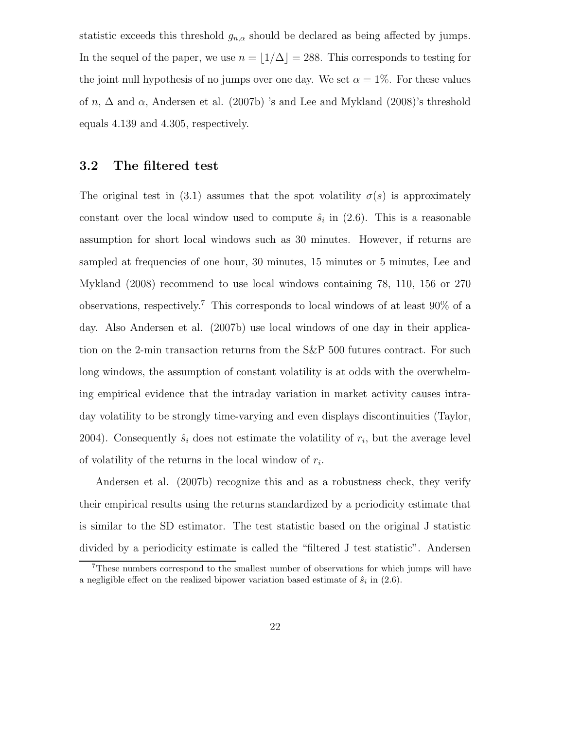statistic exceeds this threshold  $g_{n,\alpha}$  should be declared as being affected by jumps. In the sequel of the paper, we use  $n = \lfloor 1/\Delta \rfloor = 288$ . This corresponds to testing for the joint null hypothesis of no jumps over one day. We set  $\alpha = 1\%$ . For these values of n,  $\Delta$  and  $\alpha$ , Andersen et al. (2007b) 's and Lee and Mykland (2008)'s threshold equals 4.139 and 4.305, respectively.

#### 3.2 The filtered test

The original test in (3.1) assumes that the spot volatility  $\sigma(s)$  is approximately constant over the local window used to compute  $\hat{s}_i$  in (2.6). This is a reasonable assumption for short local windows such as 30 minutes. However, if returns are sampled at frequencies of one hour, 30 minutes, 15 minutes or 5 minutes, Lee and Mykland (2008) recommend to use local windows containing 78, 110, 156 or 270 observations, respectively.<sup>7</sup> This corresponds to local windows of at least 90% of a day. Also Andersen et al. (2007b) use local windows of one day in their application on the 2-min transaction returns from the S&P 500 futures contract. For such long windows, the assumption of constant volatility is at odds with the overwhelming empirical evidence that the intraday variation in market activity causes intraday volatility to be strongly time-varying and even displays discontinuities (Taylor, 2004). Consequently  $\hat{s}_i$  does not estimate the volatility of  $r_i$ , but the average level of volatility of the returns in the local window of  $r_i$ .

Andersen et al. (2007b) recognize this and as a robustness check, they verify their empirical results using the returns standardized by a periodicity estimate that is similar to the SD estimator. The test statistic based on the original J statistic divided by a periodicity estimate is called the "filtered J test statistic". Andersen

<sup>7</sup>These numbers correspond to the smallest number of observations for which jumps will have a negligible effect on the realized bipower variation based estimate of  $\hat{s}_i$  in (2.6).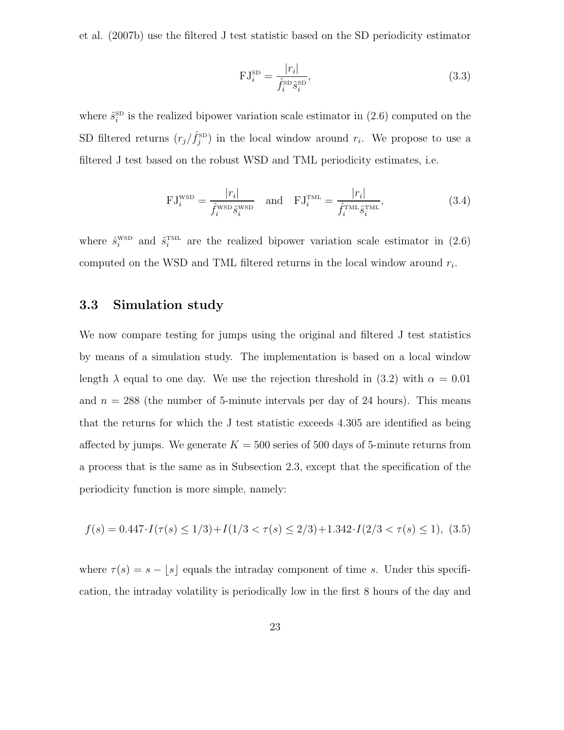et al. (2007b) use the filtered J test statistic based on the SD periodicity estimator

$$
\mathrm{FJ}_{i}^{\mathrm{SD}} = \frac{|r_{i}|}{\hat{f}_{i}^{\mathrm{SD}} \hat{s}_{i}^{\mathrm{SD}}},\tag{3.3}
$$

where  $\hat{s}_i^{\text{SD}}$  is the realized bipower variation scale estimator in (2.6) computed on the SD filtered returns  $(r_j/\hat{f}_j^{\text{SD}})$  in the local window around  $r_i$ . We propose to use a filtered J test based on the robust WSD and TML periodicity estimates, i.e.

$$
\mathrm{FJ}_{i}^{\mathrm{WSD}} = \frac{|r_{i}|}{\hat{f}_{i}^{\mathrm{WSD}} \hat{s}_{i}^{\mathrm{WSD}}} \quad \text{and} \quad \mathrm{FJ}_{i}^{\mathrm{TML}} = \frac{|r_{i}|}{\hat{f}_{i}^{\mathrm{TML}} \hat{s}_{i}^{\mathrm{TML}}}, \tag{3.4}
$$

where  $\hat{s}_i^{\text{WSD}}$  and  $\hat{s}_i^{\text{TML}}$  are the realized bipower variation scale estimator in (2.6) computed on the WSD and TML filtered returns in the local window around  $r_i$ .

#### 3.3 Simulation study

We now compare testing for jumps using the original and filtered J test statistics by means of a simulation study. The implementation is based on a local window length  $\lambda$  equal to one day. We use the rejection threshold in (3.2) with  $\alpha = 0.01$ and  $n = 288$  (the number of 5-minute intervals per day of 24 hours). This means that the returns for which the J test statistic exceeds 4.305 are identified as being affected by jumps. We generate  $K = 500$  series of 500 days of 5-minute returns from a process that is the same as in Subsection 2.3, except that the specification of the periodicity function is more simple, namely:

$$
f(s) = 0.447 \cdot I(\tau(s) \le 1/3) + I(1/3 < \tau(s) \le 2/3) + 1.342 \cdot I(2/3 < \tau(s) \le 1), \tag{3.5}
$$

where  $\tau(s) = s - \lfloor s \rfloor$  equals the intraday component of time s. Under this specification, the intraday volatility is periodically low in the first 8 hours of the day and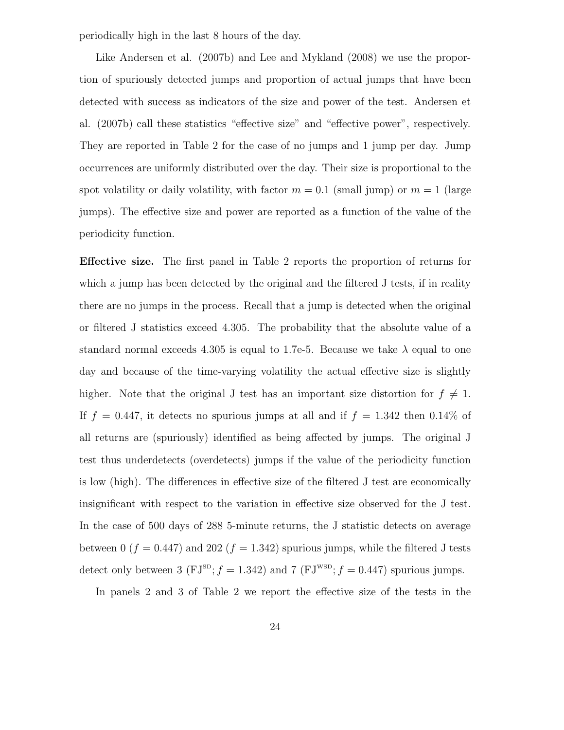periodically high in the last 8 hours of the day.

Like Andersen et al. (2007b) and Lee and Mykland (2008) we use the proportion of spuriously detected jumps and proportion of actual jumps that have been detected with success as indicators of the size and power of the test. Andersen et al. (2007b) call these statistics "effective size" and "effective power", respectively. They are reported in Table 2 for the case of no jumps and 1 jump per day. Jump occurrences are uniformly distributed over the day. Their size is proportional to the spot volatility or daily volatility, with factor  $m = 0.1$  (small jump) or  $m = 1$  (large jumps). The effective size and power are reported as a function of the value of the periodicity function.

Effective size. The first panel in Table 2 reports the proportion of returns for which a jump has been detected by the original and the filtered J tests, if in reality there are no jumps in the process. Recall that a jump is detected when the original or filtered J statistics exceed 4.305. The probability that the absolute value of a standard normal exceeds 4.305 is equal to 1.7e-5. Because we take  $\lambda$  equal to one day and because of the time-varying volatility the actual effective size is slightly higher. Note that the original J test has an important size distortion for  $f \neq 1$ . If  $f = 0.447$ , it detects no spurious jumps at all and if  $f = 1.342$  then 0.14\% of all returns are (spuriously) identified as being affected by jumps. The original J test thus underdetects (overdetects) jumps if the value of the periodicity function is low (high). The differences in effective size of the filtered J test are economically insignificant with respect to the variation in effective size observed for the J test. In the case of 500 days of 288 5-minute returns, the J statistic detects on average between 0 ( $f = 0.447$ ) and 202 ( $f = 1.342$ ) spurious jumps, while the filtered J tests detect only between 3 (FJ<sup>SD</sup>;  $f = 1.342$ ) and 7 (FJ<sup>WSD</sup>;  $f = 0.447$ ) spurious jumps.

In panels 2 and 3 of Table 2 we report the effective size of the tests in the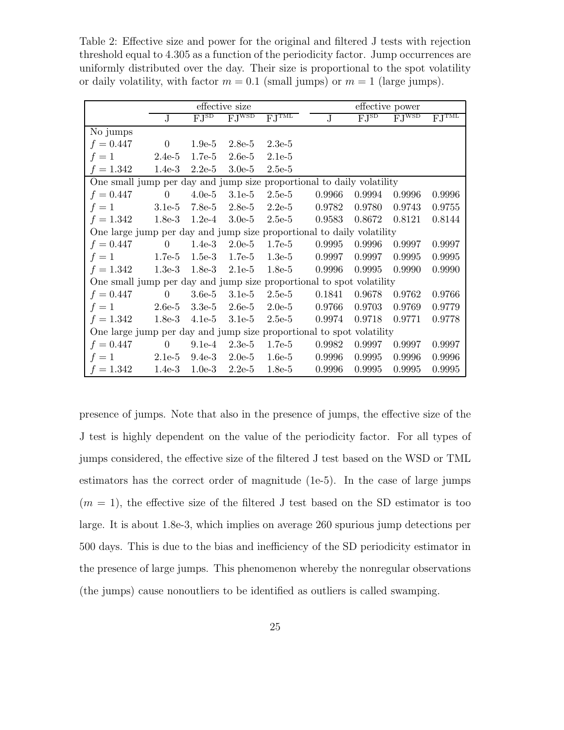Table 2: Effective size and power for the original and filtered J tests with rejection threshold equal to 4.305 as a function of the periodicity factor. Jump occurrences are uniformly distributed over the day. Their size is proportional to the spot volatility or daily volatility, with factor  $m = 0.1$  (small jumps) or  $m = 1$  (large jumps).

|                                                                       |                                                                   |          | effective size        |                       |                                        | effective power |                       |        |  |  |  |
|-----------------------------------------------------------------------|-------------------------------------------------------------------|----------|-----------------------|-----------------------|----------------------------------------|-----------------|-----------------------|--------|--|--|--|
|                                                                       | FJ <sub>2D</sub><br>$\overline{\mathrm{FJ}^{\mathrm{WSD}}}$<br>J. |          | $\overline{FJ^{TML}}$ | $\overline{\text{J}}$ | $\overline{\mathrm{FJ}^{\mathrm{SD}}}$ | F.JWSD          | $\overline{FJ}^{TML}$ |        |  |  |  |
| No jumps                                                              |                                                                   |          |                       |                       |                                        |                 |                       |        |  |  |  |
| $f = 0.447$                                                           | $\boldsymbol{0}$                                                  | $1.9e-5$ | $2.8e-5$              | $2.3e-5$              |                                        |                 |                       |        |  |  |  |
| $f=1$                                                                 | $2.4e-5$                                                          | $1.7e-5$ | $2.6e-5$              | $2.1e-5$              |                                        |                 |                       |        |  |  |  |
| $f = 1.342$                                                           | $1.4e-3$                                                          | $2.2e-5$ | $3.0e-5$              | $2.5e-5$              |                                        |                 |                       |        |  |  |  |
| One small jump per day and jump size proportional to daily volatility |                                                                   |          |                       |                       |                                        |                 |                       |        |  |  |  |
| $f = 0.447$                                                           | $\boldsymbol{0}$                                                  | $4.0e-5$ | $3.1e-5$              | $2.5e-5$              | 0.9966                                 | 0.9994          | 0.9996                | 0.9996 |  |  |  |
| $f=1$                                                                 | $3.1e-5$                                                          | $7.8e-5$ | $2.8e-5$              | $2.2e-5$              | 0.9782                                 | 0.9780          | 0.9743                | 0.9755 |  |  |  |
| $f = 1.342$                                                           | $1.8e-3$                                                          | $1.2e-4$ | $3.0e-5$              | $2.5e-5$              | 0.9583                                 | 0.8672          | 0.8121                | 0.8144 |  |  |  |
| One large jump per day and jump size proportional to daily volatility |                                                                   |          |                       |                       |                                        |                 |                       |        |  |  |  |
| $f = 0.447$                                                           | $\overline{0}$                                                    | $1.4e-3$ | $2.0e-5$              | $1.7e-5$              | 0.9995                                 | 0.9996          | 0.9997                | 0.9997 |  |  |  |
| $f=1$                                                                 | $1.7e-5$                                                          | $1.5e-3$ | $1.7e-5$              | $1.3e-5$              | 0.9997                                 | 0.9997          | 0.9995                | 0.9995 |  |  |  |
| $f = 1.342$                                                           | $1.3e-3$                                                          | $1.8e-3$ | $2.1e-5$              | $1.8e-5$              | 0.9996                                 | 0.9995          | 0.9990                | 0.9990 |  |  |  |
| One small jump per day and jump size proportional to spot volatility  |                                                                   |          |                       |                       |                                        |                 |                       |        |  |  |  |
| $f = 0.447$                                                           | $\overline{0}$                                                    | $3.6e-5$ | $3.1e-5$              | $2.5e-5$              | 0.1841                                 | 0.9678          | 0.9762                | 0.9766 |  |  |  |
| $f=1$                                                                 | $2.6e-5$                                                          | $3.3e-5$ | $2.6e-5$              | $2.0e-5$              | 0.9766                                 | 0.9703          | 0.9769                | 0.9779 |  |  |  |
| $f = 1.342$                                                           | $1.8e-3$                                                          | $4.1e-5$ | $3.1e-5$              | $2.5e-5$              | 0.9974                                 | 0.9718          | 0.9771                | 0.9778 |  |  |  |
| One large jump per day and jump size proportional to spot volatility  |                                                                   |          |                       |                       |                                        |                 |                       |        |  |  |  |
| $f = 0.447$                                                           | $\theta$                                                          | $9.1e-4$ | $2.3e-5$              | $1.7e-5$              | 0.9982                                 | 0.9997          | 0.9997                | 0.9997 |  |  |  |
| $f=1$                                                                 | $2.1e-5$                                                          | $9.4e-3$ | $2.0e-5$              | $1.6e-5$              | 0.9996                                 | 0.9995          | 0.9996                | 0.9996 |  |  |  |
| $f = 1.342$                                                           | $1.4e-3$                                                          | $1.0e-3$ | $2.2e-5$              | $1.8e-5$              | 0.9996                                 | 0.9995          | 0.9995                | 0.9995 |  |  |  |

presence of jumps. Note that also in the presence of jumps, the effective size of the J test is highly dependent on the value of the periodicity factor. For all types of jumps considered, the effective size of the filtered J test based on the WSD or TML estimators has the correct order of magnitude (1e-5). In the case of large jumps  $(m = 1)$ , the effective size of the filtered J test based on the SD estimator is too large. It is about 1.8e-3, which implies on average 260 spurious jump detections per 500 days. This is due to the bias and inefficiency of the SD periodicity estimator in the presence of large jumps. This phenomenon whereby the nonregular observations (the jumps) cause nonoutliers to be identified as outliers is called swamping.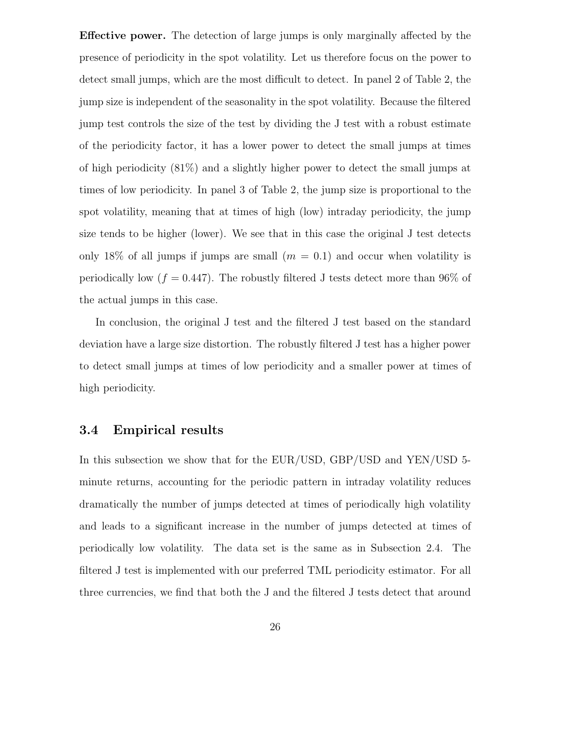Effective power. The detection of large jumps is only marginally affected by the presence of periodicity in the spot volatility. Let us therefore focus on the power to detect small jumps, which are the most difficult to detect. In panel 2 of Table 2, the jump size is independent of the seasonality in the spot volatility. Because the filtered jump test controls the size of the test by dividing the J test with a robust estimate of the periodicity factor, it has a lower power to detect the small jumps at times of high periodicity (81%) and a slightly higher power to detect the small jumps at times of low periodicity. In panel 3 of Table 2, the jump size is proportional to the spot volatility, meaning that at times of high (low) intraday periodicity, the jump size tends to be higher (lower). We see that in this case the original J test detects only 18% of all jumps if jumps are small  $(m = 0.1)$  and occur when volatility is periodically low  $(f = 0.447)$ . The robustly filtered J tests detect more than 96% of the actual jumps in this case.

In conclusion, the original J test and the filtered J test based on the standard deviation have a large size distortion. The robustly filtered J test has a higher power to detect small jumps at times of low periodicity and a smaller power at times of high periodicity.

#### 3.4 Empirical results

In this subsection we show that for the EUR/USD, GBP/USD and YEN/USD 5 minute returns, accounting for the periodic pattern in intraday volatility reduces dramatically the number of jumps detected at times of periodically high volatility and leads to a significant increase in the number of jumps detected at times of periodically low volatility. The data set is the same as in Subsection 2.4. The filtered J test is implemented with our preferred TML periodicity estimator. For all three currencies, we find that both the J and the filtered J tests detect that around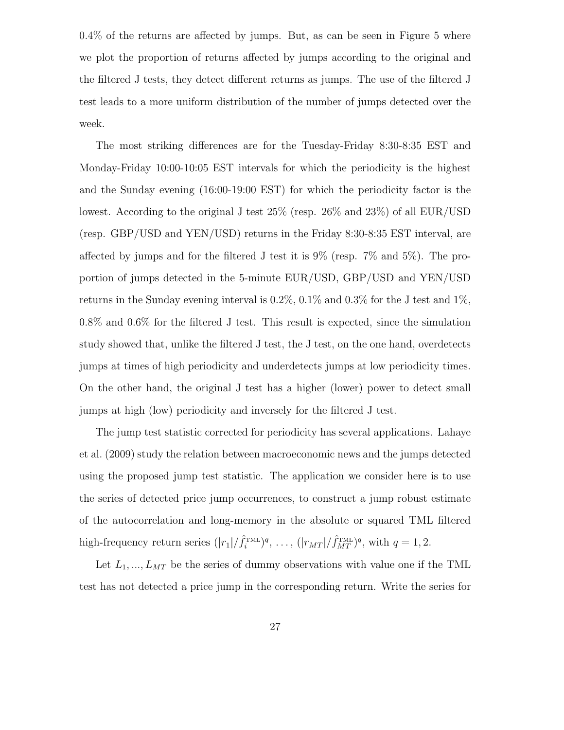0.4% of the returns are affected by jumps. But, as can be seen in Figure 5 where we plot the proportion of returns affected by jumps according to the original and the filtered J tests, they detect different returns as jumps. The use of the filtered J test leads to a more uniform distribution of the number of jumps detected over the week.

The most striking differences are for the Tuesday-Friday 8:30-8:35 EST and Monday-Friday 10:00-10:05 EST intervals for which the periodicity is the highest and the Sunday evening (16:00-19:00 EST) for which the periodicity factor is the lowest. According to the original J test 25% (resp. 26% and 23%) of all EUR/USD (resp. GBP/USD and YEN/USD) returns in the Friday 8:30-8:35 EST interval, are affected by jumps and for the filtered J test it is 9% (resp. 7% and 5%). The proportion of jumps detected in the 5-minute EUR/USD, GBP/USD and YEN/USD returns in the Sunday evening interval is  $0.2\%$ ,  $0.1\%$  and  $0.3\%$  for the J test and  $1\%$ , 0.8% and 0.6% for the filtered J test. This result is expected, since the simulation study showed that, unlike the filtered J test, the J test, on the one hand, overdetects jumps at times of high periodicity and underdetects jumps at low periodicity times. On the other hand, the original J test has a higher (lower) power to detect small jumps at high (low) periodicity and inversely for the filtered J test.

The jump test statistic corrected for periodicity has several applications. Lahaye et al. (2009) study the relation between macroeconomic news and the jumps detected using the proposed jump test statistic. The application we consider here is to use the series of detected price jump occurrences, to construct a jump robust estimate of the autocorrelation and long-memory in the absolute or squared TML filtered high-frequency return series  $(|r_1|/\hat{f}_i^{\text{TML}})^q$ , ...,  $(|r_{MT}|/\hat{f}_{MT}^{\text{TML}})^q$ , with  $q = 1, 2$ .

Let  $L_1, ..., L_{MT}$  be the series of dummy observations with value one if the TML test has not detected a price jump in the corresponding return. Write the series for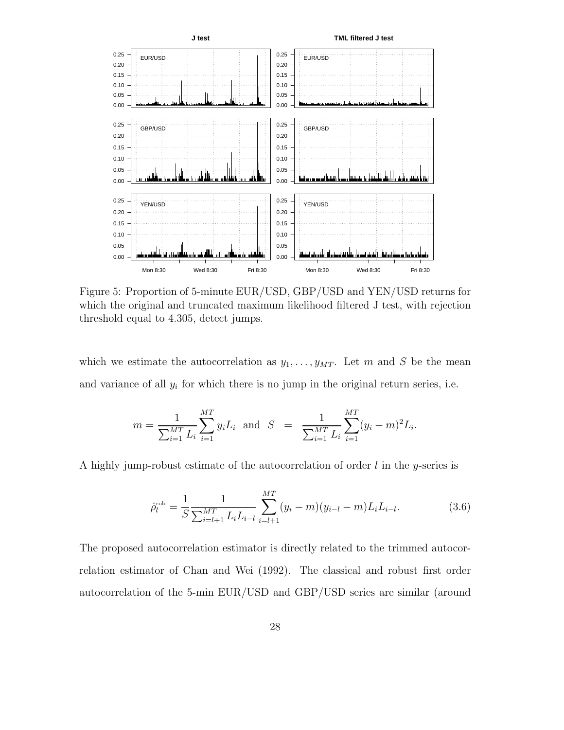

Figure 5: Proportion of 5-minute EUR/USD, GBP/USD and YEN/USD returns for which the original and truncated maximum likelihood filtered J test, with rejection threshold equal to 4.305, detect jumps.

which we estimate the autocorrelation as  $y_1, \ldots, y_{MT}$ . Let m and S be the mean and variance of all  $y_i$  for which there is no jump in the original return series, i.e.

$$
m = \frac{1}{\sum_{i=1}^{MT} L_i} \sum_{i=1}^{MT} y_i L_i \text{ and } S = \frac{1}{\sum_{i=1}^{MT} L_i} \sum_{i=1}^{MT} (y_i - m)^2 L_i.
$$

A highly jump-robust estimate of the autocorrelation of order  $l$  in the y-series is

$$
\hat{\rho}_l^{\text{rob}} = \frac{1}{S} \frac{1}{\sum_{i=l+1}^{MT} L_i L_{i-l}} \sum_{i=l+1}^{MT} (y_i - m)(y_{i-l} - m) L_i L_{i-l}.
$$
\n(3.6)

The proposed autocorrelation estimator is directly related to the trimmed autocorrelation estimator of Chan and Wei (1992). The classical and robust first order autocorrelation of the 5-min EUR/USD and GBP/USD series are similar (around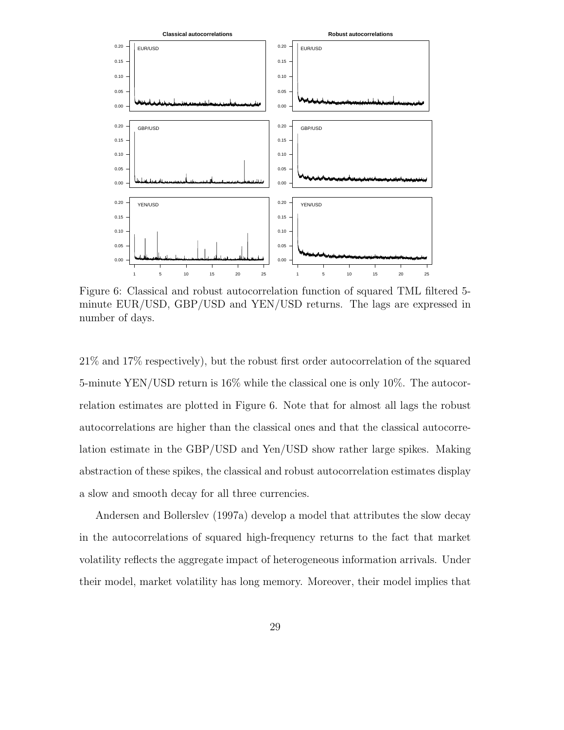

Figure 6: Classical and robust autocorrelation function of squared TML filtered 5 minute EUR/USD, GBP/USD and YEN/USD returns. The lags are expressed in number of days.

21% and 17% respectively), but the robust first order autocorrelation of the squared 5-minute YEN/USD return is 16% while the classical one is only 10%. The autocorrelation estimates are plotted in Figure 6. Note that for almost all lags the robust autocorrelations are higher than the classical ones and that the classical autocorrelation estimate in the GBP/USD and Yen/USD show rather large spikes. Making abstraction of these spikes, the classical and robust autocorrelation estimates display a slow and smooth decay for all three currencies.

Andersen and Bollerslev (1997a) develop a model that attributes the slow decay in the autocorrelations of squared high-frequency returns to the fact that market volatility reflects the aggregate impact of heterogeneous information arrivals. Under their model, market volatility has long memory. Moreover, their model implies that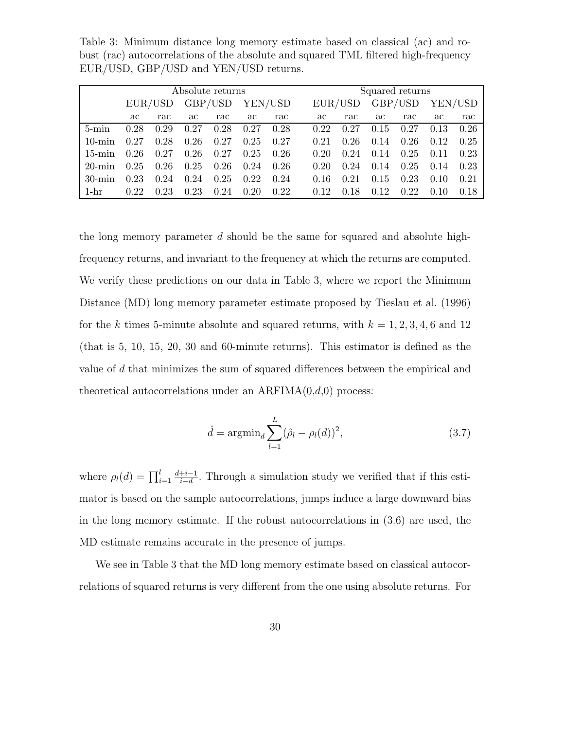Table 3: Minimum distance long memory estimate based on classical (ac) and robust (rac) autocorrelations of the absolute and squared TML filtered high-frequency EUR/USD, GBP/USD and YEN/USD returns.

|           | Absolute returns |      |         |      |         |      |         |      |         | Squared returns |         | $rac{\pi}{2}$<br>0.26<br>0.25<br>0.23 |  |  |  |  |
|-----------|------------------|------|---------|------|---------|------|---------|------|---------|-----------------|---------|---------------------------------------|--|--|--|--|
|           | EUR/USD          |      | GBP/USD |      | YEN/USD |      | EUR/USD |      | GBP/USD |                 | YEN/USD |                                       |  |  |  |  |
|           | ac               | rac  | ac      | rac  | ac      | rac  | aс      | rac  | ac      | $rac{\pi}{2}$   | ac      |                                       |  |  |  |  |
| $5$ -min  | 0.28             | 0.29 | 0.27    | 0.28 | 0.27    | 0.28 | 0.22    | 0.27 | 0.15    | 0.27            | 0.13    |                                       |  |  |  |  |
| $10$ -min | 0.27             | 0.28 | 0.26    | 0.27 | 0.25    | 0.27 | 0.21    | 0.26 | 0.14    | 0.26            | 0.12    |                                       |  |  |  |  |
| $15$ -min | 0.26             | 0.27 | 0.26    | 0.27 | 0.25    | 0.26 | 0.20    | 0.24 | 0.14    | 0.25            | 0.11    |                                       |  |  |  |  |
| $20$ -min | 0.25             | 0.26 | 0.25    | 0.26 | 0.24    | 0.26 | 0.20    | 0.24 | 0.14    | 0.25            | 0.14    | 0.23                                  |  |  |  |  |
| $30$ -min | 0.23             | 0.24 | 0.24    | 0.25 | 0.22    | 0.24 | 0.16    | 0.21 | 0.15    | 0.23            | 0.10    | 0.21                                  |  |  |  |  |
| $1-hr$    | 0.22             | 0.23 | 0.23    | 0.24 | 0.20    | 0.22 | 0.12    | 18   | 0.12    | 0.22            | 0.10    | 0.18                                  |  |  |  |  |

the long memory parameter d should be the same for squared and absolute highfrequency returns, and invariant to the frequency at which the returns are computed. We verify these predictions on our data in Table 3, where we report the Minimum Distance (MD) long memory parameter estimate proposed by Tieslau et al. (1996) for the k times 5-minute absolute and squared returns, with  $k = 1, 2, 3, 4, 6$  and 12 (that is 5, 10, 15, 20, 30 and 60-minute returns). This estimator is defined as the value of d that minimizes the sum of squared differences between the empirical and theoretical autocorrelations under an  $ARFIMA(0,d,0)$  process:

$$
\hat{d} = \operatorname{argmin}_{d} \sum_{l=1}^{L} (\hat{\rho}_l - \rho_l(d))^2,
$$
\n(3.7)

where  $\rho_l(d) = \prod_{i=1}^l$  $d+i-1$  $\frac{+i-1}{i-d}$ . Through a simulation study we verified that if this estimator is based on the sample autocorrelations, jumps induce a large downward bias in the long memory estimate. If the robust autocorrelations in (3.6) are used, the MD estimate remains accurate in the presence of jumps.

We see in Table 3 that the MD long memory estimate based on classical autocorrelations of squared returns is very different from the one using absolute returns. For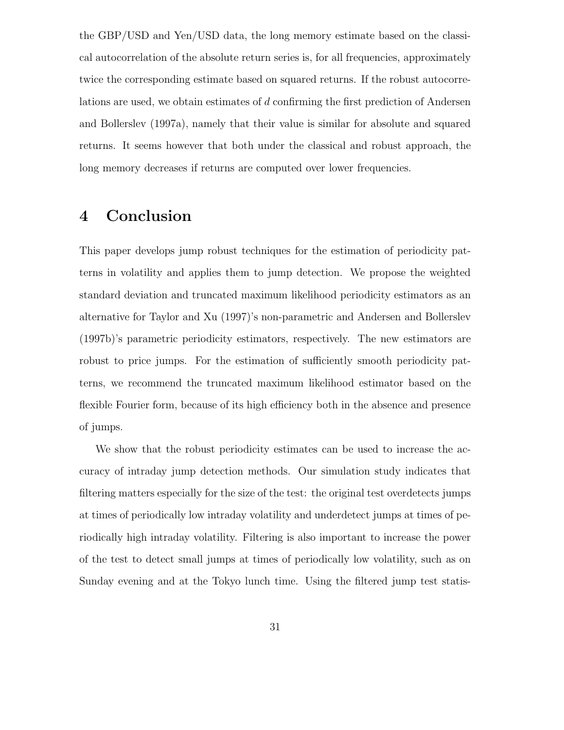the GBP/USD and Yen/USD data, the long memory estimate based on the classical autocorrelation of the absolute return series is, for all frequencies, approximately twice the corresponding estimate based on squared returns. If the robust autocorrelations are used, we obtain estimates of d confirming the first prediction of Andersen and Bollerslev (1997a), namely that their value is similar for absolute and squared returns. It seems however that both under the classical and robust approach, the long memory decreases if returns are computed over lower frequencies.

### 4 Conclusion

This paper develops jump robust techniques for the estimation of periodicity patterns in volatility and applies them to jump detection. We propose the weighted standard deviation and truncated maximum likelihood periodicity estimators as an alternative for Taylor and Xu (1997)'s non-parametric and Andersen and Bollerslev (1997b)'s parametric periodicity estimators, respectively. The new estimators are robust to price jumps. For the estimation of sufficiently smooth periodicity patterns, we recommend the truncated maximum likelihood estimator based on the flexible Fourier form, because of its high efficiency both in the absence and presence of jumps.

We show that the robust periodicity estimates can be used to increase the accuracy of intraday jump detection methods. Our simulation study indicates that filtering matters especially for the size of the test: the original test overdetects jumps at times of periodically low intraday volatility and underdetect jumps at times of periodically high intraday volatility. Filtering is also important to increase the power of the test to detect small jumps at times of periodically low volatility, such as on Sunday evening and at the Tokyo lunch time. Using the filtered jump test statis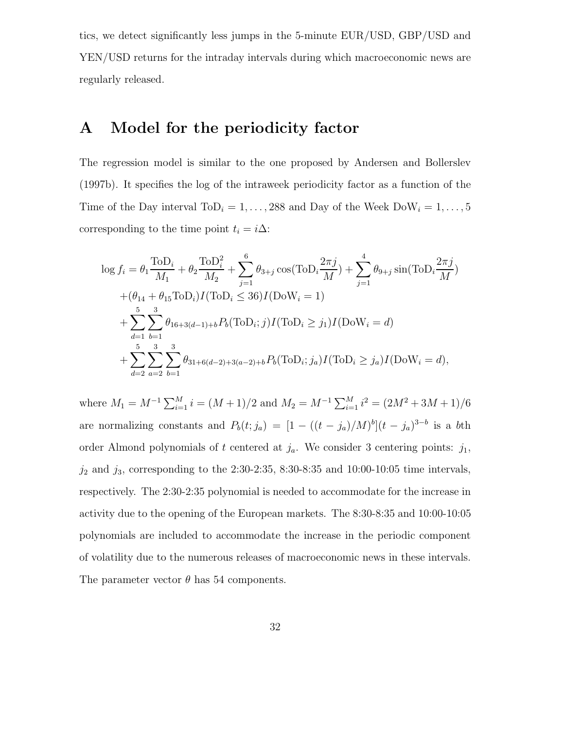tics, we detect significantly less jumps in the 5-minute EUR/USD, GBP/USD and YEN/USD returns for the intraday intervals during which macroeconomic news are regularly released.

### A Model for the periodicity factor

The regression model is similar to the one proposed by Andersen and Bollerslev (1997b). It specifies the log of the intraweek periodicity factor as a function of the Time of the Day interval  $\text{ToD}_i = 1, \ldots, 288$  and Day of the Week  $\text{DoW}_i = 1, \ldots, 5$ corresponding to the time point  $t_i = i\Delta$ :

$$
\log f_i = \theta_1 \frac{\text{ToD}_i}{M_1} + \theta_2 \frac{\text{ToD}_i^2}{M_2} + \sum_{j=1}^6 \theta_{3+j} \cos(\text{ToD}_i \frac{2\pi j}{M}) + \sum_{j=1}^4 \theta_{9+j} \sin(\text{ToD}_i \frac{2\pi j}{M})
$$
  
+  $(\theta_{14} + \theta_{15} \text{ToD}_i) I(\text{ToD}_i \le 36) I(\text{DoW}_i = 1)$   
+  $\sum_{d=1}^5 \sum_{b=1}^3 \theta_{16+3(d-1)+b} P_b(\text{ToD}_i; j) I(\text{ToD}_i \ge j_1) I(\text{DoW}_i = d)$   
+  $\sum_{d=2}^5 \sum_{a=2}^3 \sum_{b=1}^3 \theta_{31+6(d-2)+3(a-2)+b} P_b(\text{ToD}_i; j_a) I(\text{ToD}_i \ge j_a) I(\text{DoW}_i = d),$ 

where  $M_1 = M^{-1} \sum_{i=1}^{M} i = (M+1)/2$  and  $M_2 = M^{-1} \sum_{i=1}^{M} i^2 = (2M^2 + 3M + 1)/6$ are normalizing constants and  $P_b(t; j_a) = [1 - ((t - j_a)/M)^b](t - j_a)^{3-b}$  is a bth order Almond polynomials of t centered at  $j_a$ . We consider 3 centering points:  $j_1$ ,  $j_2$  and  $j_3$ , corresponding to the 2:30-2:35, 8:30-8:35 and 10:00-10:05 time intervals, respectively. The 2:30-2:35 polynomial is needed to accommodate for the increase in activity due to the opening of the European markets. The 8:30-8:35 and 10:00-10:05 polynomials are included to accommodate the increase in the periodic component of volatility due to the numerous releases of macroeconomic news in these intervals. The parameter vector  $\theta$  has 54 components.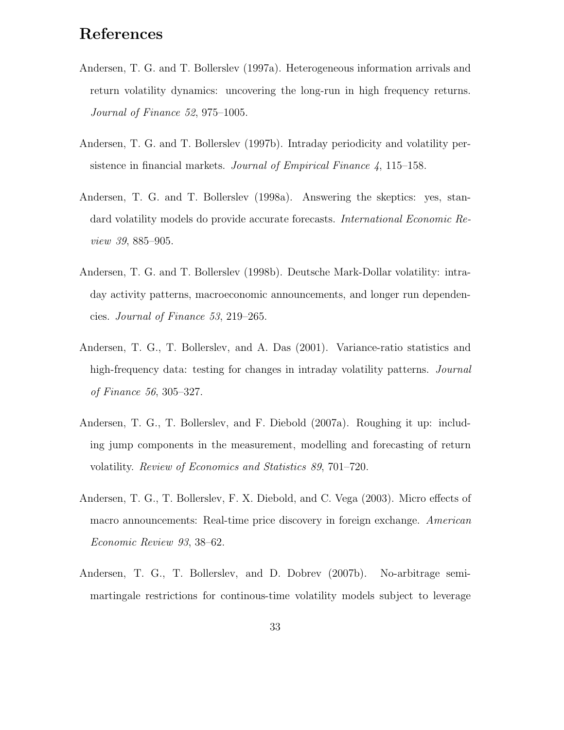## References

- Andersen, T. G. and T. Bollerslev (1997a). Heterogeneous information arrivals and return volatility dynamics: uncovering the long-run in high frequency returns. Journal of Finance 52, 975–1005.
- Andersen, T. G. and T. Bollerslev (1997b). Intraday periodicity and volatility persistence in financial markets. Journal of Empirical Finance 4, 115–158.
- Andersen, T. G. and T. Bollerslev (1998a). Answering the skeptics: yes, standard volatility models do provide accurate forecasts. International Economic Review 39, 885–905.
- Andersen, T. G. and T. Bollerslev (1998b). Deutsche Mark-Dollar volatility: intraday activity patterns, macroeconomic announcements, and longer run dependencies. Journal of Finance 53, 219–265.
- Andersen, T. G., T. Bollerslev, and A. Das (2001). Variance-ratio statistics and high-frequency data: testing for changes in intraday volatility patterns. *Journal* of Finance 56, 305–327.
- Andersen, T. G., T. Bollerslev, and F. Diebold (2007a). Roughing it up: including jump components in the measurement, modelling and forecasting of return volatility. Review of Economics and Statistics 89, 701–720.
- Andersen, T. G., T. Bollerslev, F. X. Diebold, and C. Vega (2003). Micro effects of macro announcements: Real-time price discovery in foreign exchange. American Economic Review 93, 38–62.
- Andersen, T. G., T. Bollerslev, and D. Dobrev (2007b). No-arbitrage semimartingale restrictions for continous-time volatility models subject to leverage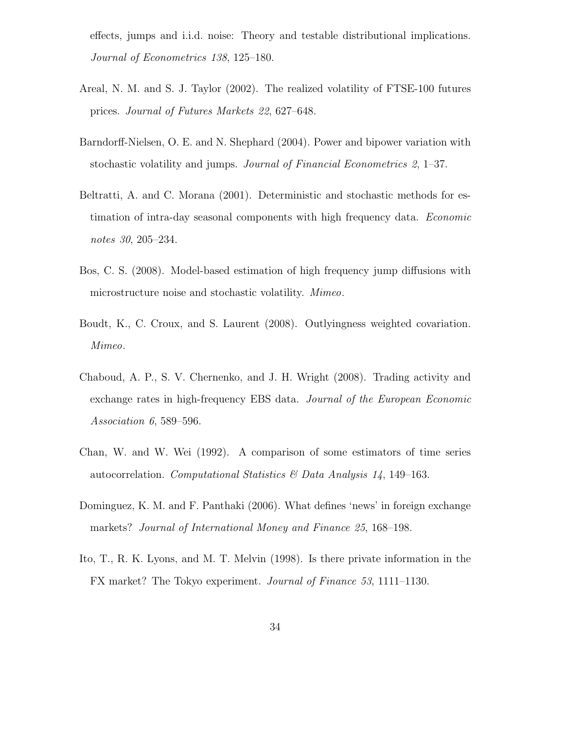effects, jumps and i.i.d. noise: Theory and testable distributional implications. Journal of Econometrics 138, 125–180.

- Areal, N. M. and S. J. Taylor (2002). The realized volatility of FTSE-100 futures prices. Journal of Futures Markets 22, 627–648.
- Barndorff-Nielsen, O. E. and N. Shephard (2004). Power and bipower variation with stochastic volatility and jumps. Journal of Financial Econometrics 2, 1–37.
- Beltratti, A. and C. Morana (2001). Deterministic and stochastic methods for estimation of intra-day seasonal components with high frequency data. Economic notes 30, 205–234.
- Bos, C. S. (2008). Model-based estimation of high frequency jump diffusions with microstructure noise and stochastic volatility. Mimeo.
- Boudt, K., C. Croux, and S. Laurent (2008). Outlyingness weighted covariation. Mimeo.
- Chaboud, A. P., S. V. Chernenko, and J. H. Wright (2008). Trading activity and exchange rates in high-frequency EBS data. Journal of the European Economic Association 6, 589–596.
- Chan, W. and W. Wei (1992). A comparison of some estimators of time series autocorrelation. Computational Statistics & Data Analysis  $14$ , 149-163.
- Dominguez, K. M. and F. Panthaki (2006). What defines 'news' in foreign exchange markets? Journal of International Money and Finance 25, 168–198.
- Ito, T., R. K. Lyons, and M. T. Melvin (1998). Is there private information in the FX market? The Tokyo experiment. Journal of Finance 53, 1111–1130.